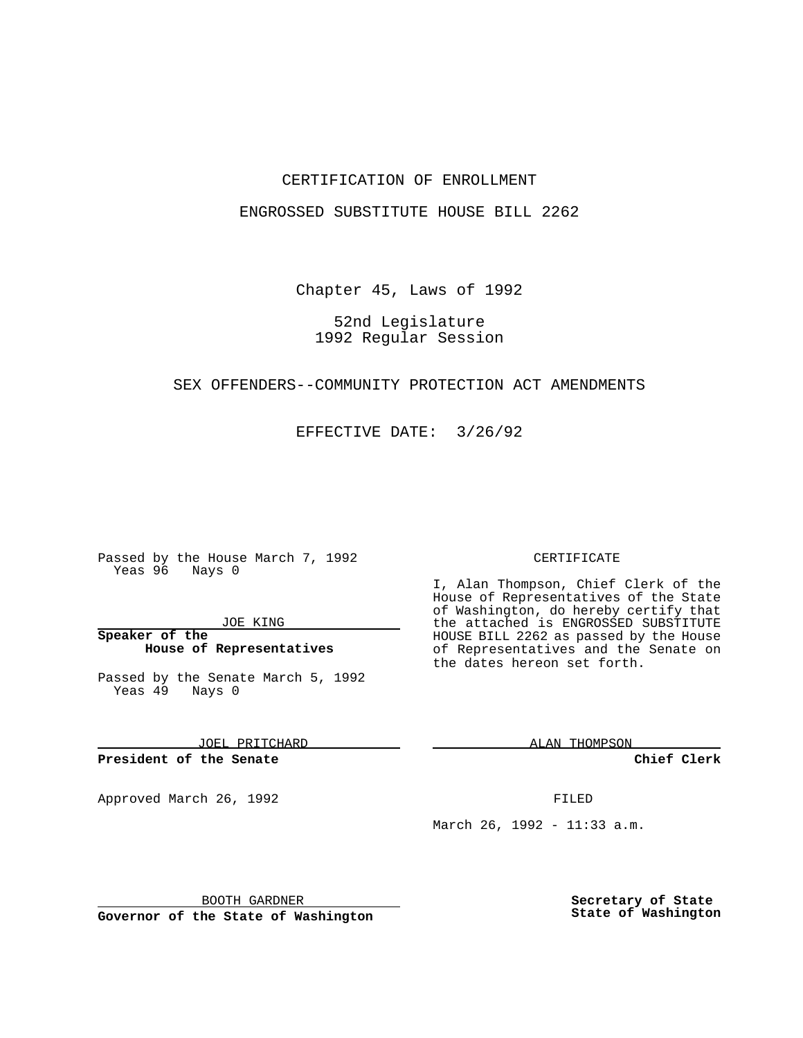## CERTIFICATION OF ENROLLMENT

### ENGROSSED SUBSTITUTE HOUSE BILL 2262

Chapter 45, Laws of 1992

## 52nd Legislature 1992 Regular Session

#### SEX OFFENDERS--COMMUNITY PROTECTION ACT AMENDMENTS

EFFECTIVE DATE: 3/26/92

Passed by the House March 7, 1992 Yeas 96 Nays 0

JOE KING

**Speaker of the House of Representatives**

Passed by the Senate March 5, 1992 Yeas 49 Nays 0

JOEL PRITCHARD

**President of the Senate**

Approved March 26, 1992 **FILED** 

#### CERTIFICATE

I, Alan Thompson, Chief Clerk of the House of Representatives of the State of Washington, do hereby certify that the attached is ENGROSSED SUBSTITUTE HOUSE BILL 2262 as passed by the House of Representatives and the Senate on the dates hereon set forth.

ALAN THOMPSON

**Chief Clerk**

March 26, 1992 - 11:33 a.m.

BOOTH GARDNER

**Governor of the State of Washington**

**Secretary of State State of Washington**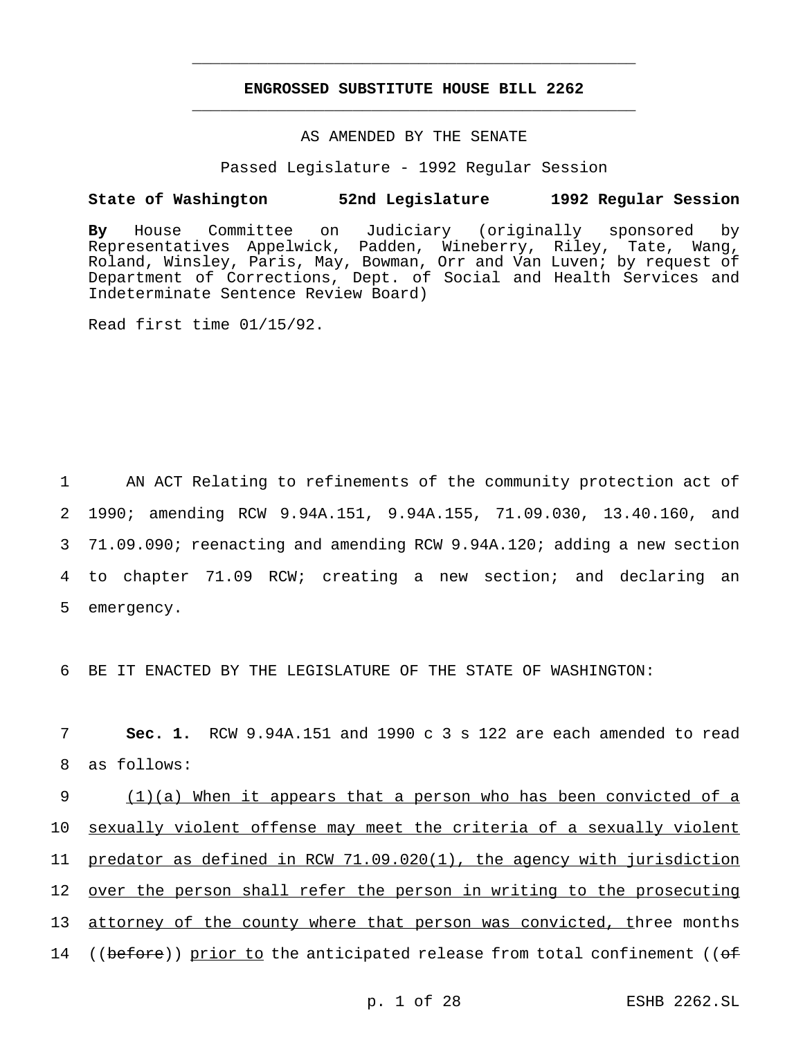# **ENGROSSED SUBSTITUTE HOUSE BILL 2262** \_\_\_\_\_\_\_\_\_\_\_\_\_\_\_\_\_\_\_\_\_\_\_\_\_\_\_\_\_\_\_\_\_\_\_\_\_\_\_\_\_\_\_\_\_\_\_

\_\_\_\_\_\_\_\_\_\_\_\_\_\_\_\_\_\_\_\_\_\_\_\_\_\_\_\_\_\_\_\_\_\_\_\_\_\_\_\_\_\_\_\_\_\_\_

# AS AMENDED BY THE SENATE

Passed Legislature - 1992 Regular Session

#### **State of Washington 52nd Legislature 1992 Regular Session**

**By** House Committee on Judiciary (originally sponsored by Representatives Appelwick, Padden, Wineberry, Riley, Tate, Wang, Roland, Winsley, Paris, May, Bowman, Orr and Van Luven; by request of Department of Corrections, Dept. of Social and Health Services and Indeterminate Sentence Review Board)

Read first time 01/15/92.

 AN ACT Relating to refinements of the community protection act of 1990; amending RCW 9.94A.151, 9.94A.155, 71.09.030, 13.40.160, and 71.09.090; reenacting and amending RCW 9.94A.120; adding a new section to chapter 71.09 RCW; creating a new section; and declaring an emergency.

6 BE IT ENACTED BY THE LEGISLATURE OF THE STATE OF WASHINGTON:

7 **Sec. 1.** RCW 9.94A.151 and 1990 c 3 s 122 are each amended to read 8 as follows:

9 (1)(a) When it appears that a person who has been convicted of a 10 sexually violent offense may meet the criteria of a sexually violent 11 predator as defined in RCW 71.09.020(1), the agency with jurisdiction 12 <u>over the person shall refer the person in writing to the prosecuting</u> 13 attorney of the county where that person was convicted, three months 14 ((before)) prior to the anticipated release from total confinement ((of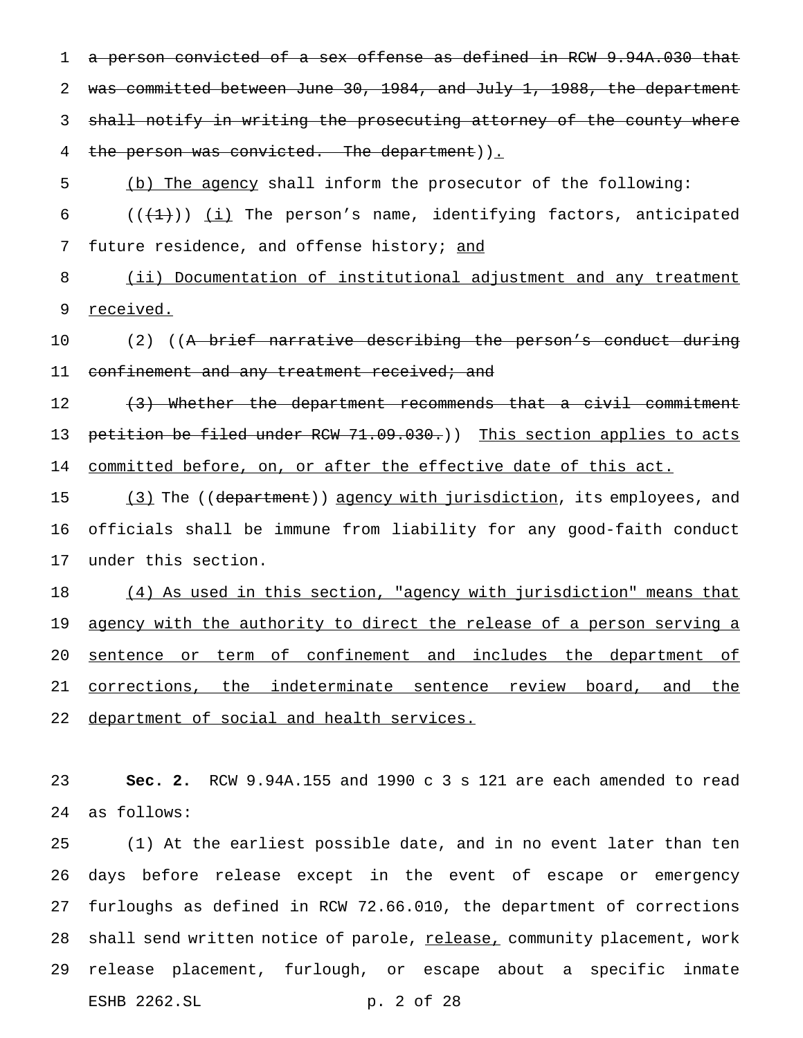1 a person convicted of a sex offense as defined in RCW 9.94A.030 that 2 was committed between June 30, 1984, and July 1, 1988, the department 3 shall notify in writing the prosecuting attorney of the county where 4 the person was convicted. The department)).

5 (b) The agency shall inform the prosecutor of the following:

6  $((+1))$   $(i)$  The person's name, identifying factors, anticipated 7 future residence, and offense history; and

8 (ii) Documentation of institutional adjustment and any treatment 9 received.

10 (2) ((<del>A brief narrative describing the person's conduct during</del> 11 confinement and any treatment received; and

12 (3) Whether the department recommends that a civil commitment 13 petition be filed under RCW 71.09.030.)) This section applies to acts 14 committed before, on, or after the effective date of this act.

15 (3) The ((department)) agency with jurisdiction, its employees, and 16 officials shall be immune from liability for any good-faith conduct 17 under this section.

18 (4) As used in this section, "agency with jurisdiction" means that 19 agency with the authority to direct the release of a person serving a 20 sentence or term of confinement and includes the department of 21 corrections, the indeterminate sentence review board, and the 22 department of social and health services.

23 **Sec. 2.** RCW 9.94A.155 and 1990 c 3 s 121 are each amended to read 24 as follows:

 (1) At the earliest possible date, and in no event later than ten days before release except in the event of escape or emergency furloughs as defined in RCW 72.66.010, the department of corrections 28 shall send written notice of parole, release, community placement, work release placement, furlough, or escape about a specific inmate ESHB 2262.SL p. 2 of 28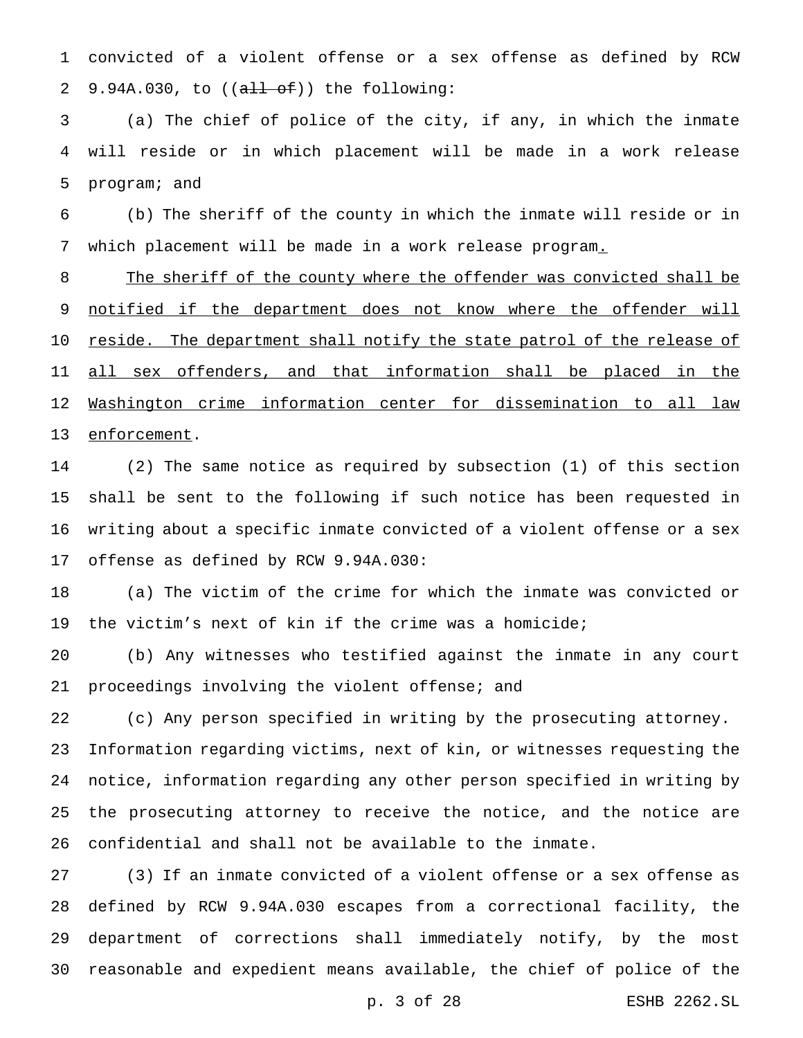convicted of a violent offense or a sex offense as defined by RCW 2 9.94A.030, to  $((a+1)-b+1)$  the following:

 (a) The chief of police of the city, if any, in which the inmate will reside or in which placement will be made in a work release program; and

 (b) The sheriff of the county in which the inmate will reside or in which placement will be made in a work release program.

8 The sheriff of the county where the offender was convicted shall be 9 notified if the department does not know where the offender will 10 reside. The department shall notify the state patrol of the release of 11 all sex offenders, and that information shall be placed in the Washington crime information center for dissemination to all law 13 enforcement.

 (2) The same notice as required by subsection (1) of this section shall be sent to the following if such notice has been requested in writing about a specific inmate convicted of a violent offense or a sex offense as defined by RCW 9.94A.030:

 (a) The victim of the crime for which the inmate was convicted or the victim's next of kin if the crime was a homicide;

 (b) Any witnesses who testified against the inmate in any court proceedings involving the violent offense; and

 (c) Any person specified in writing by the prosecuting attorney. Information regarding victims, next of kin, or witnesses requesting the notice, information regarding any other person specified in writing by the prosecuting attorney to receive the notice, and the notice are confidential and shall not be available to the inmate.

 (3) If an inmate convicted of a violent offense or a sex offense as defined by RCW 9.94A.030 escapes from a correctional facility, the department of corrections shall immediately notify, by the most reasonable and expedient means available, the chief of police of the

p. 3 of 28 ESHB 2262.SL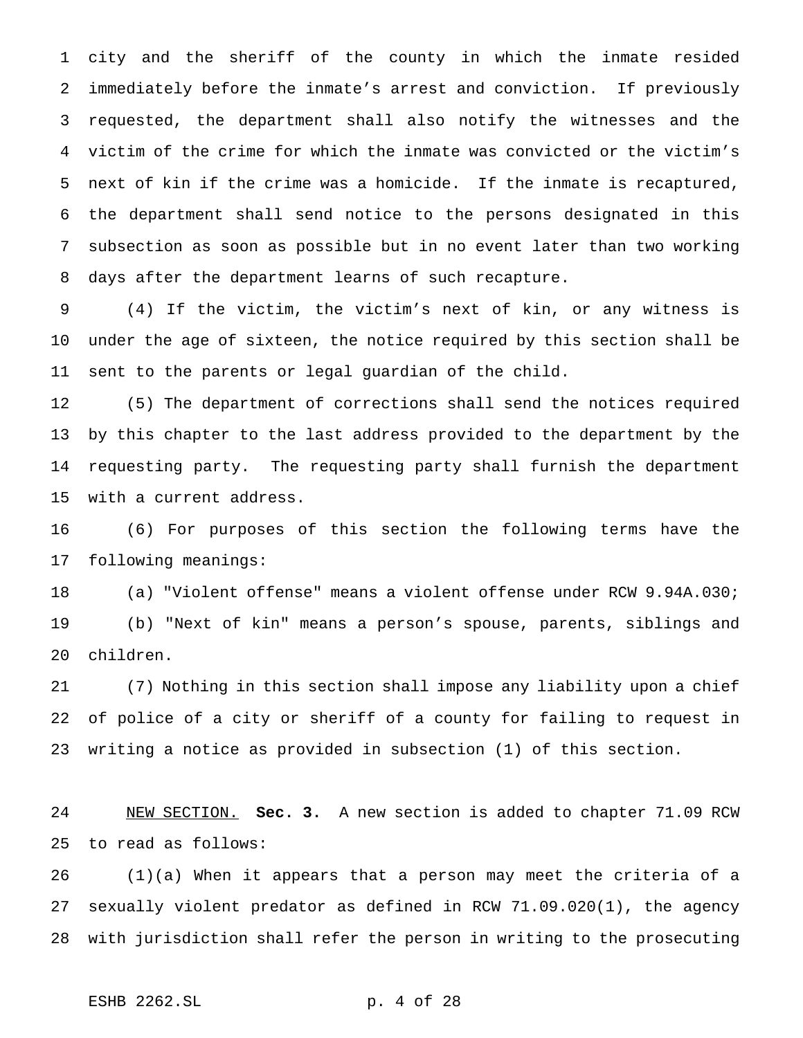city and the sheriff of the county in which the inmate resided immediately before the inmate's arrest and conviction. If previously requested, the department shall also notify the witnesses and the victim of the crime for which the inmate was convicted or the victim's next of kin if the crime was a homicide. If the inmate is recaptured, the department shall send notice to the persons designated in this subsection as soon as possible but in no event later than two working days after the department learns of such recapture.

 (4) If the victim, the victim's next of kin, or any witness is under the age of sixteen, the notice required by this section shall be sent to the parents or legal guardian of the child.

 (5) The department of corrections shall send the notices required by this chapter to the last address provided to the department by the requesting party. The requesting party shall furnish the department with a current address.

 (6) For purposes of this section the following terms have the following meanings:

 (a) "Violent offense" means a violent offense under RCW 9.94A.030; (b) "Next of kin" means a person's spouse, parents, siblings and children.

 (7) Nothing in this section shall impose any liability upon a chief of police of a city or sheriff of a county for failing to request in writing a notice as provided in subsection (1) of this section.

 NEW SECTION. **Sec. 3.** A new section is added to chapter 71.09 RCW to read as follows:

 (1)(a) When it appears that a person may meet the criteria of a sexually violent predator as defined in RCW 71.09.020(1), the agency with jurisdiction shall refer the person in writing to the prosecuting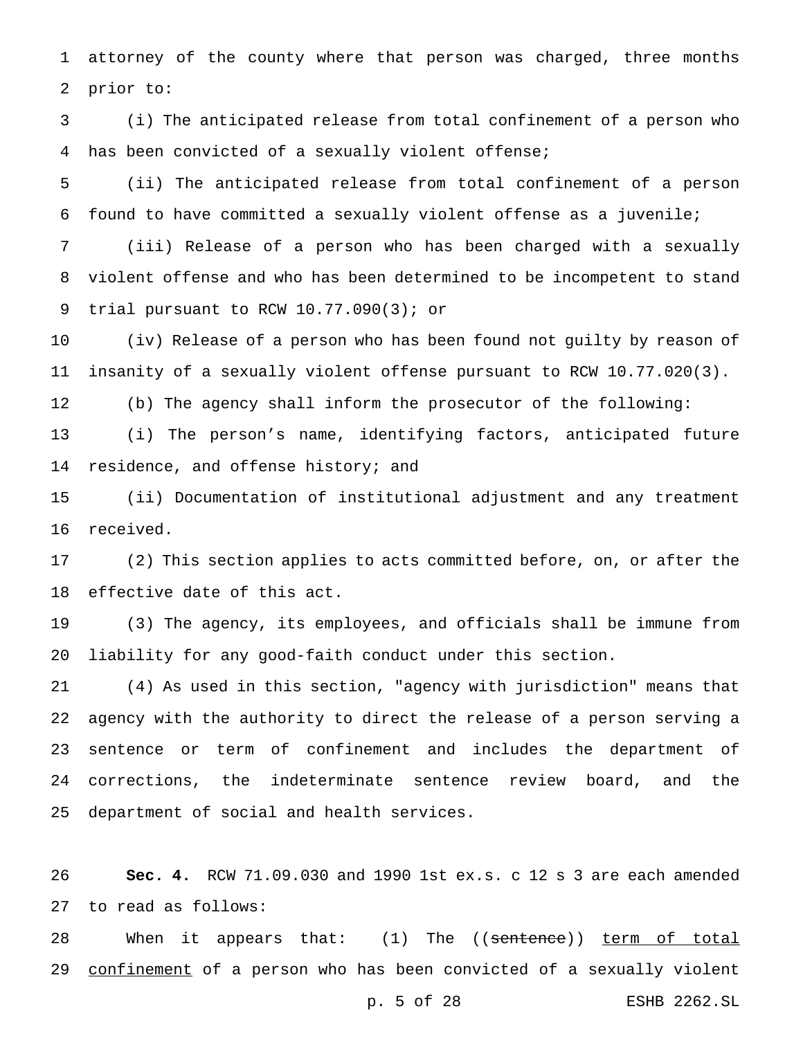attorney of the county where that person was charged, three months prior to:

 (i) The anticipated release from total confinement of a person who has been convicted of a sexually violent offense;

 (ii) The anticipated release from total confinement of a person found to have committed a sexually violent offense as a juvenile;

 (iii) Release of a person who has been charged with a sexually violent offense and who has been determined to be incompetent to stand trial pursuant to RCW 10.77.090(3); or

 (iv) Release of a person who has been found not guilty by reason of insanity of a sexually violent offense pursuant to RCW 10.77.020(3).

(b) The agency shall inform the prosecutor of the following:

 (i) The person's name, identifying factors, anticipated future 14 residence, and offense history; and

 (ii) Documentation of institutional adjustment and any treatment received.

 (2) This section applies to acts committed before, on, or after the effective date of this act.

 (3) The agency, its employees, and officials shall be immune from liability for any good-faith conduct under this section.

 (4) As used in this section, "agency with jurisdiction" means that agency with the authority to direct the release of a person serving a sentence or term of confinement and includes the department of corrections, the indeterminate sentence review board, and the department of social and health services.

 **Sec. 4.** RCW 71.09.030 and 1990 1st ex.s. c 12 s 3 are each amended to read as follows:

28 When it appears that: (1) The ((sentence)) term of total 29 confinement of a person who has been convicted of a sexually violent

p. 5 of 28 ESHB 2262.SL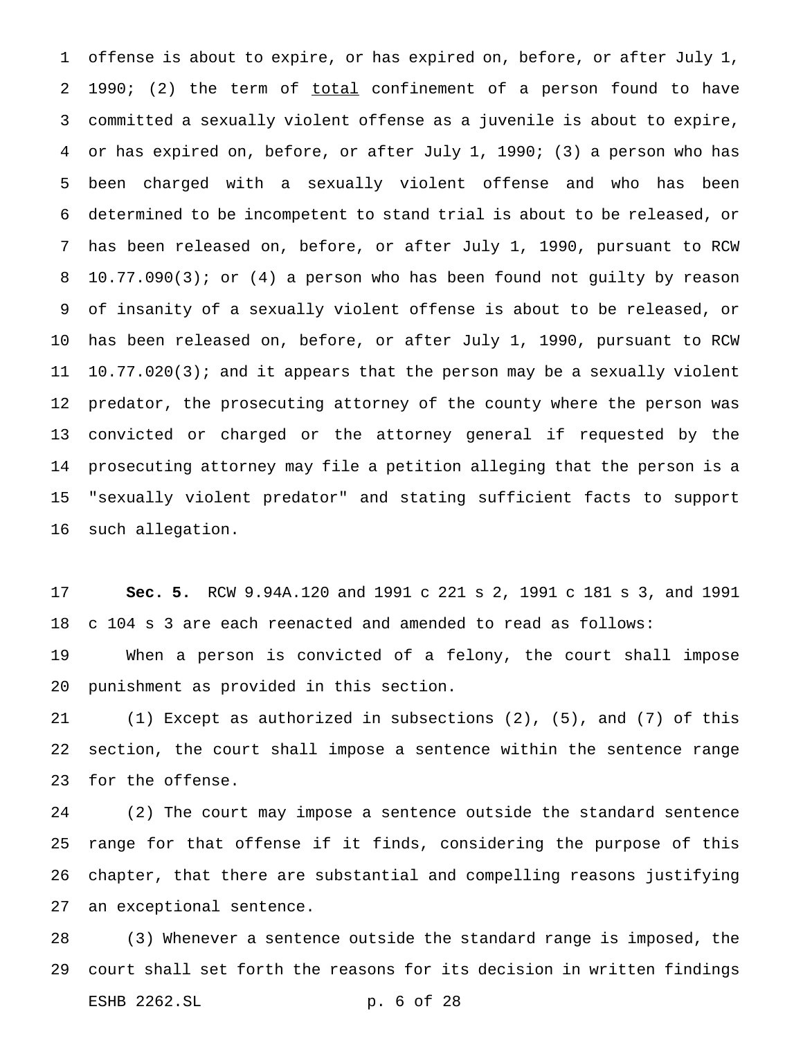offense is about to expire, or has expired on, before, or after July 1, 2 1990; (2) the term of total confinement of a person found to have committed a sexually violent offense as a juvenile is about to expire, or has expired on, before, or after July 1, 1990; (3) a person who has been charged with a sexually violent offense and who has been determined to be incompetent to stand trial is about to be released, or has been released on, before, or after July 1, 1990, pursuant to RCW 10.77.090(3); or (4) a person who has been found not guilty by reason of insanity of a sexually violent offense is about to be released, or has been released on, before, or after July 1, 1990, pursuant to RCW 10.77.020(3); and it appears that the person may be a sexually violent predator, the prosecuting attorney of the county where the person was convicted or charged or the attorney general if requested by the prosecuting attorney may file a petition alleging that the person is a "sexually violent predator" and stating sufficient facts to support such allegation.

 **Sec. 5.** RCW 9.94A.120 and 1991 c 221 s 2, 1991 c 181 s 3, and 1991 c 104 s 3 are each reenacted and amended to read as follows: When a person is convicted of a felony, the court shall impose punishment as provided in this section.

 (1) Except as authorized in subsections (2), (5), and (7) of this section, the court shall impose a sentence within the sentence range for the offense.

 (2) The court may impose a sentence outside the standard sentence range for that offense if it finds, considering the purpose of this chapter, that there are substantial and compelling reasons justifying an exceptional sentence.

 (3) Whenever a sentence outside the standard range is imposed, the court shall set forth the reasons for its decision in written findings ESHB 2262.SL p. 6 of 28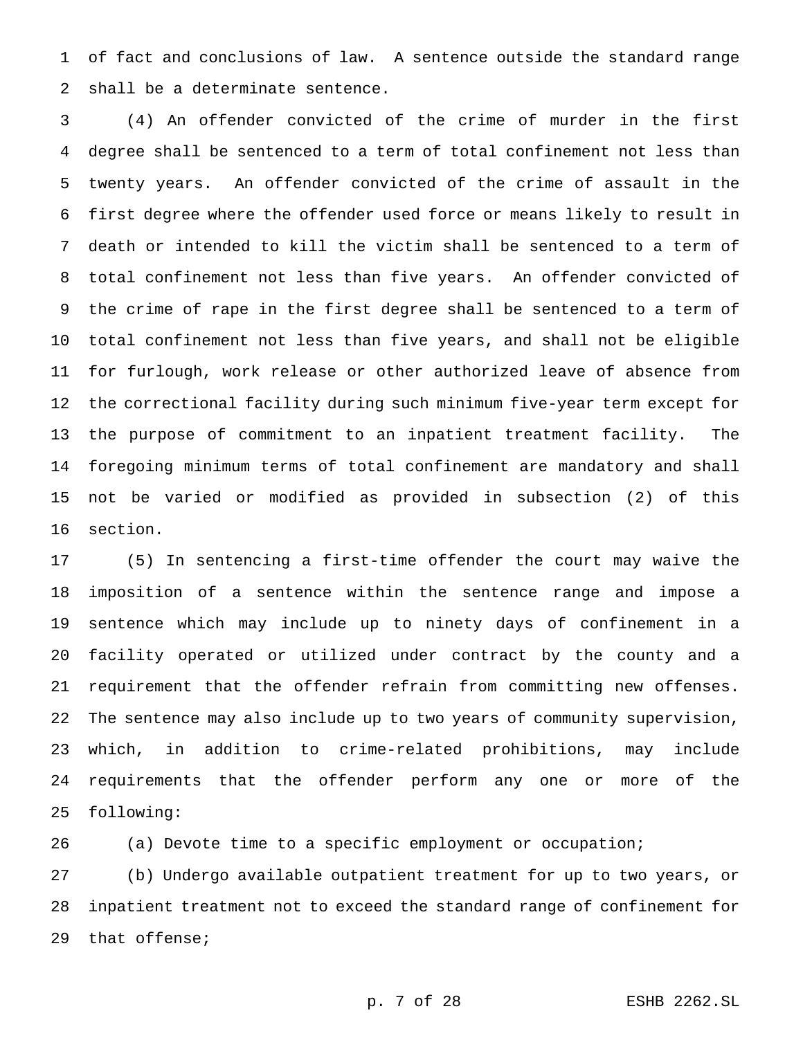of fact and conclusions of law. A sentence outside the standard range shall be a determinate sentence.

 (4) An offender convicted of the crime of murder in the first degree shall be sentenced to a term of total confinement not less than twenty years. An offender convicted of the crime of assault in the first degree where the offender used force or means likely to result in death or intended to kill the victim shall be sentenced to a term of total confinement not less than five years. An offender convicted of the crime of rape in the first degree shall be sentenced to a term of total confinement not less than five years, and shall not be eligible for furlough, work release or other authorized leave of absence from the correctional facility during such minimum five-year term except for the purpose of commitment to an inpatient treatment facility. The foregoing minimum terms of total confinement are mandatory and shall not be varied or modified as provided in subsection (2) of this section.

 (5) In sentencing a first-time offender the court may waive the imposition of a sentence within the sentence range and impose a sentence which may include up to ninety days of confinement in a facility operated or utilized under contract by the county and a requirement that the offender refrain from committing new offenses. The sentence may also include up to two years of community supervision, which, in addition to crime-related prohibitions, may include requirements that the offender perform any one or more of the following:

 (a) Devote time to a specific employment or occupation; (b) Undergo available outpatient treatment for up to two years, or inpatient treatment not to exceed the standard range of confinement for that offense;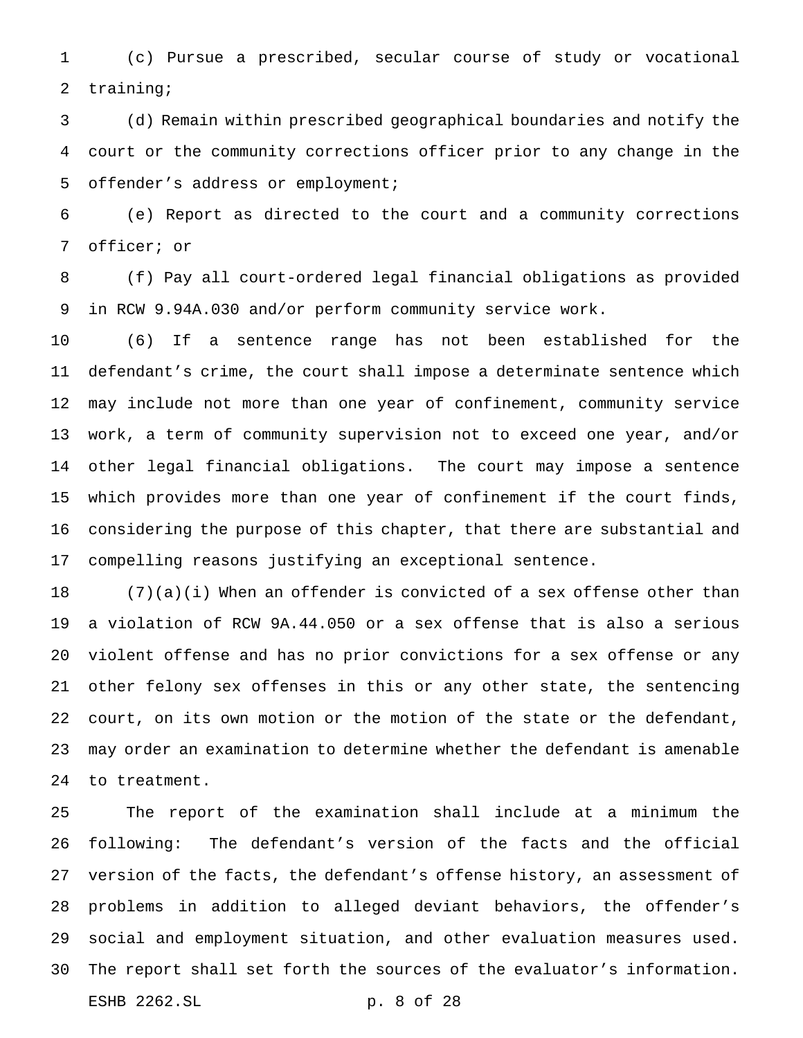(c) Pursue a prescribed, secular course of study or vocational training;

 (d) Remain within prescribed geographical boundaries and notify the court or the community corrections officer prior to any change in the offender's address or employment;

 (e) Report as directed to the court and a community corrections officer; or

 (f) Pay all court-ordered legal financial obligations as provided in RCW 9.94A.030 and/or perform community service work.

 (6) If a sentence range has not been established for the defendant's crime, the court shall impose a determinate sentence which may include not more than one year of confinement, community service work, a term of community supervision not to exceed one year, and/or other legal financial obligations. The court may impose a sentence which provides more than one year of confinement if the court finds, considering the purpose of this chapter, that there are substantial and compelling reasons justifying an exceptional sentence.

 $(7)(a)(i)$  When an offender is convicted of a sex offense other than a violation of RCW 9A.44.050 or a sex offense that is also a serious violent offense and has no prior convictions for a sex offense or any other felony sex offenses in this or any other state, the sentencing court, on its own motion or the motion of the state or the defendant, may order an examination to determine whether the defendant is amenable to treatment.

 The report of the examination shall include at a minimum the following: The defendant's version of the facts and the official version of the facts, the defendant's offense history, an assessment of problems in addition to alleged deviant behaviors, the offender's social and employment situation, and other evaluation measures used. The report shall set forth the sources of the evaluator's information. ESHB 2262.SL p. 8 of 28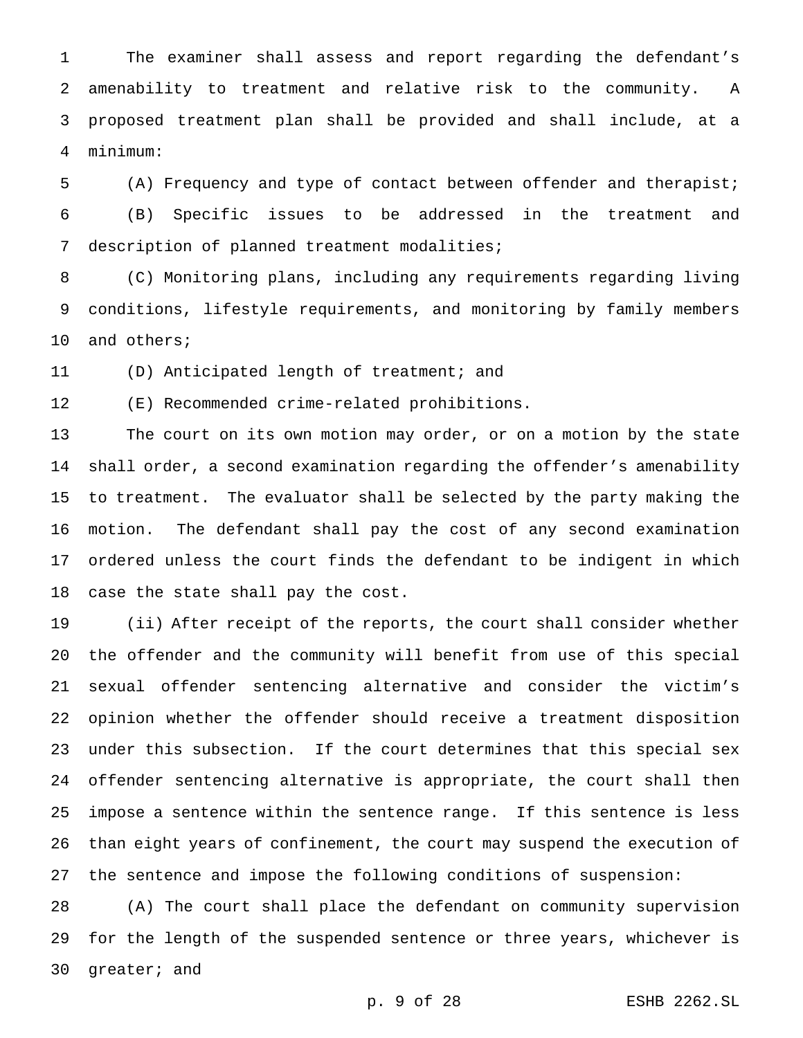The examiner shall assess and report regarding the defendant's amenability to treatment and relative risk to the community. A proposed treatment plan shall be provided and shall include, at a minimum:

 (A) Frequency and type of contact between offender and therapist; (B) Specific issues to be addressed in the treatment and description of planned treatment modalities;

 (C) Monitoring plans, including any requirements regarding living conditions, lifestyle requirements, and monitoring by family members and others;

(D) Anticipated length of treatment; and

(E) Recommended crime-related prohibitions.

 The court on its own motion may order, or on a motion by the state shall order, a second examination regarding the offender's amenability to treatment. The evaluator shall be selected by the party making the motion. The defendant shall pay the cost of any second examination ordered unless the court finds the defendant to be indigent in which case the state shall pay the cost.

 (ii) After receipt of the reports, the court shall consider whether the offender and the community will benefit from use of this special sexual offender sentencing alternative and consider the victim's opinion whether the offender should receive a treatment disposition under this subsection. If the court determines that this special sex offender sentencing alternative is appropriate, the court shall then impose a sentence within the sentence range. If this sentence is less than eight years of confinement, the court may suspend the execution of the sentence and impose the following conditions of suspension:

 (A) The court shall place the defendant on community supervision for the length of the suspended sentence or three years, whichever is greater; and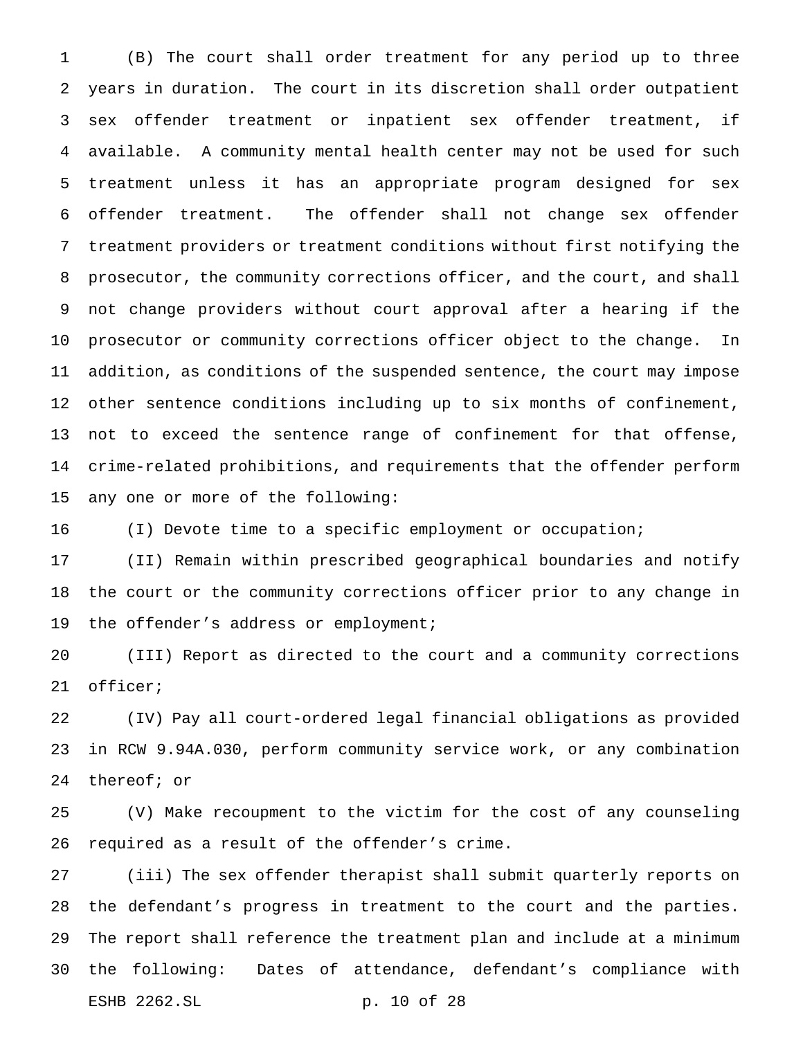(B) The court shall order treatment for any period up to three years in duration. The court in its discretion shall order outpatient sex offender treatment or inpatient sex offender treatment, if available. A community mental health center may not be used for such treatment unless it has an appropriate program designed for sex offender treatment. The offender shall not change sex offender treatment providers or treatment conditions without first notifying the prosecutor, the community corrections officer, and the court, and shall not change providers without court approval after a hearing if the prosecutor or community corrections officer object to the change. In addition, as conditions of the suspended sentence, the court may impose other sentence conditions including up to six months of confinement, not to exceed the sentence range of confinement for that offense, crime-related prohibitions, and requirements that the offender perform any one or more of the following:

(I) Devote time to a specific employment or occupation;

 (II) Remain within prescribed geographical boundaries and notify the court or the community corrections officer prior to any change in the offender's address or employment;

 (III) Report as directed to the court and a community corrections officer;

 (IV) Pay all court-ordered legal financial obligations as provided in RCW 9.94A.030, perform community service work, or any combination thereof; or

 (V) Make recoupment to the victim for the cost of any counseling required as a result of the offender's crime.

 (iii) The sex offender therapist shall submit quarterly reports on the defendant's progress in treatment to the court and the parties. The report shall reference the treatment plan and include at a minimum the following: Dates of attendance, defendant's compliance with ESHB 2262.SL p. 10 of 28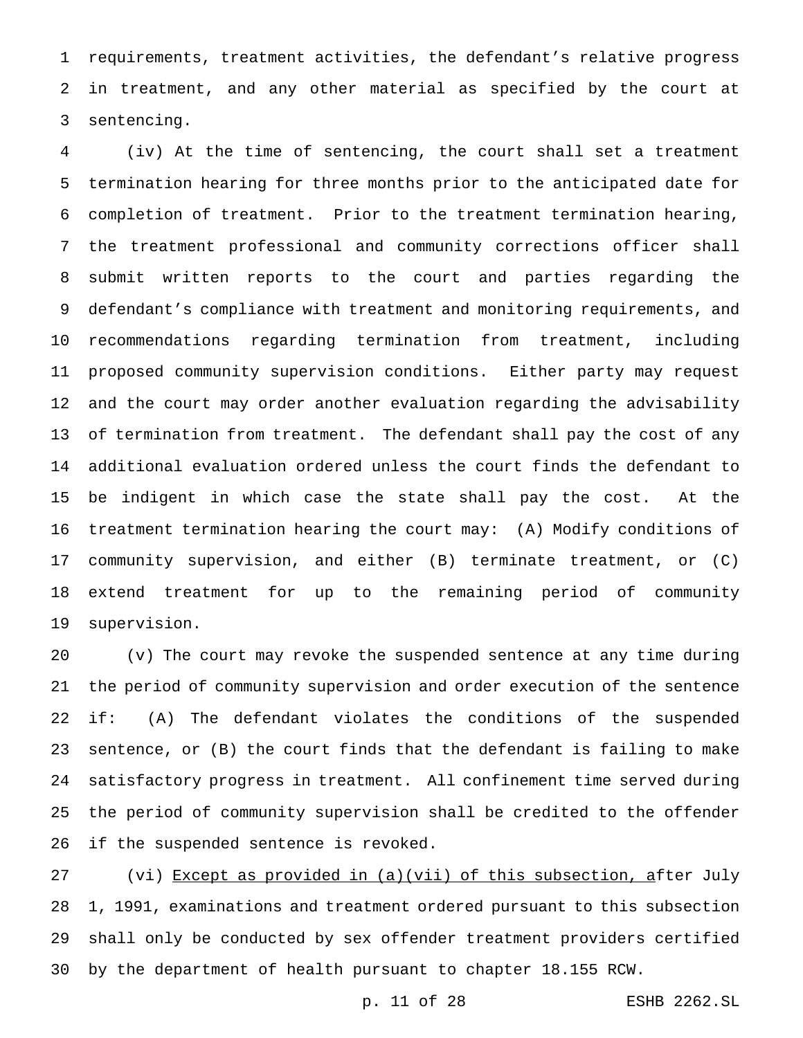requirements, treatment activities, the defendant's relative progress in treatment, and any other material as specified by the court at sentencing.

 (iv) At the time of sentencing, the court shall set a treatment termination hearing for three months prior to the anticipated date for completion of treatment. Prior to the treatment termination hearing, the treatment professional and community corrections officer shall submit written reports to the court and parties regarding the defendant's compliance with treatment and monitoring requirements, and recommendations regarding termination from treatment, including proposed community supervision conditions. Either party may request and the court may order another evaluation regarding the advisability of termination from treatment. The defendant shall pay the cost of any additional evaluation ordered unless the court finds the defendant to be indigent in which case the state shall pay the cost. At the treatment termination hearing the court may: (A) Modify conditions of community supervision, and either (B) terminate treatment, or (C) extend treatment for up to the remaining period of community supervision.

 (v) The court may revoke the suspended sentence at any time during the period of community supervision and order execution of the sentence if: (A) The defendant violates the conditions of the suspended sentence, or (B) the court finds that the defendant is failing to make satisfactory progress in treatment. All confinement time served during the period of community supervision shall be credited to the offender if the suspended sentence is revoked.

27 (vi) Except as provided in (a)(vii) of this subsection, after July 1, 1991, examinations and treatment ordered pursuant to this subsection shall only be conducted by sex offender treatment providers certified by the department of health pursuant to chapter 18.155 RCW.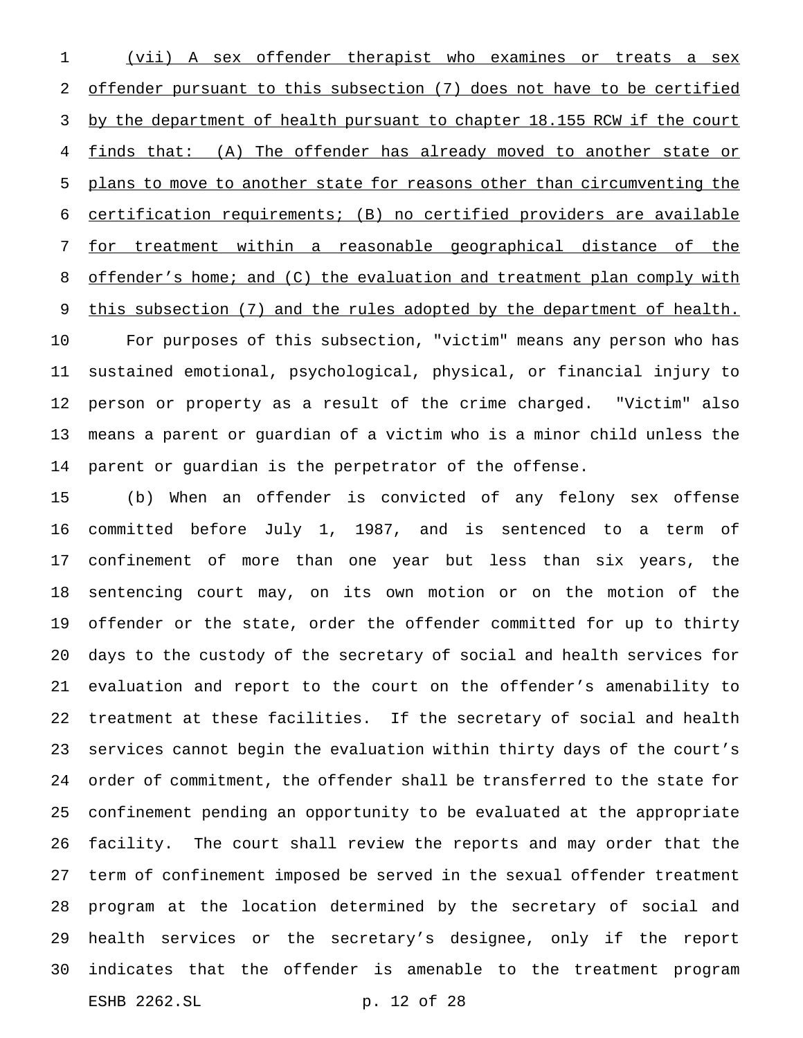(vii) A sex offender therapist who examines or treats a sex offender pursuant to this subsection (7) does not have to be certified 3 by the department of health pursuant to chapter 18.155 RCW if the court finds that: (A) The offender has already moved to another state or 5 plans to move to another state for reasons other than circumventing the certification requirements; (B) no certified providers are available for treatment within a reasonable geographical distance of the 8 offender's home; and (C) the evaluation and treatment plan comply with 9 this subsection (7) and the rules adopted by the department of health. For purposes of this subsection, "victim" means any person who has sustained emotional, psychological, physical, or financial injury to person or property as a result of the crime charged. "Victim" also means a parent or guardian of a victim who is a minor child unless the parent or guardian is the perpetrator of the offense.

 (b) When an offender is convicted of any felony sex offense committed before July 1, 1987, and is sentenced to a term of confinement of more than one year but less than six years, the sentencing court may, on its own motion or on the motion of the offender or the state, order the offender committed for up to thirty days to the custody of the secretary of social and health services for evaluation and report to the court on the offender's amenability to treatment at these facilities. If the secretary of social and health services cannot begin the evaluation within thirty days of the court's order of commitment, the offender shall be transferred to the state for confinement pending an opportunity to be evaluated at the appropriate facility. The court shall review the reports and may order that the term of confinement imposed be served in the sexual offender treatment program at the location determined by the secretary of social and health services or the secretary's designee, only if the report indicates that the offender is amenable to the treatment program ESHB 2262.SL p. 12 of 28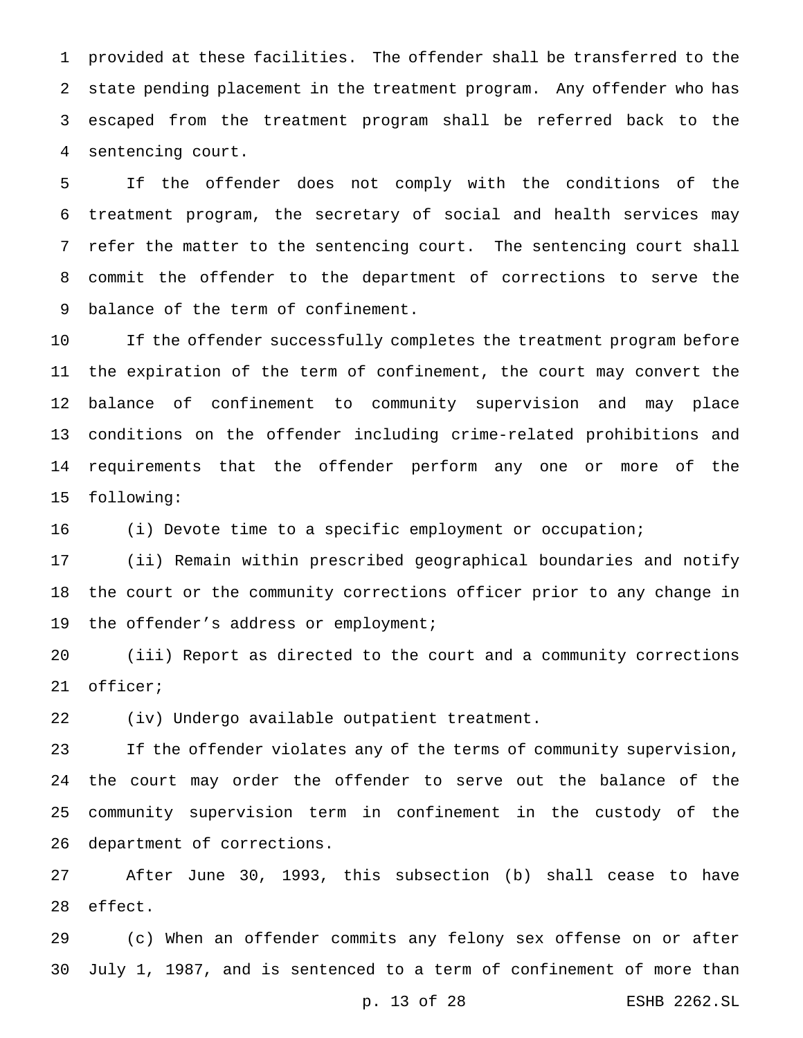provided at these facilities. The offender shall be transferred to the state pending placement in the treatment program. Any offender who has escaped from the treatment program shall be referred back to the sentencing court.

 If the offender does not comply with the conditions of the treatment program, the secretary of social and health services may refer the matter to the sentencing court. The sentencing court shall commit the offender to the department of corrections to serve the balance of the term of confinement.

 If the offender successfully completes the treatment program before the expiration of the term of confinement, the court may convert the balance of confinement to community supervision and may place conditions on the offender including crime-related prohibitions and requirements that the offender perform any one or more of the following:

(i) Devote time to a specific employment or occupation;

 (ii) Remain within prescribed geographical boundaries and notify the court or the community corrections officer prior to any change in the offender's address or employment;

 (iii) Report as directed to the court and a community corrections officer;

(iv) Undergo available outpatient treatment.

 If the offender violates any of the terms of community supervision, the court may order the offender to serve out the balance of the community supervision term in confinement in the custody of the department of corrections.

 After June 30, 1993, this subsection (b) shall cease to have effect.

 (c) When an offender commits any felony sex offense on or after July 1, 1987, and is sentenced to a term of confinement of more than

p. 13 of 28 ESHB 2262.SL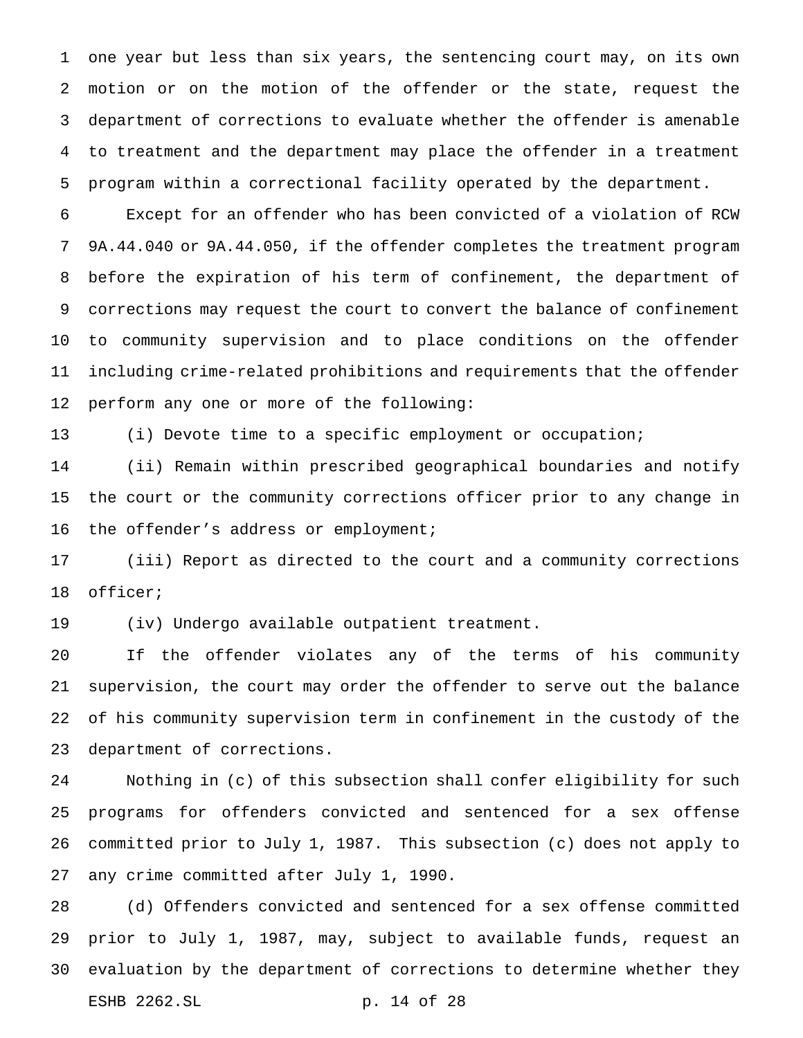one year but less than six years, the sentencing court may, on its own motion or on the motion of the offender or the state, request the department of corrections to evaluate whether the offender is amenable to treatment and the department may place the offender in a treatment program within a correctional facility operated by the department.

 Except for an offender who has been convicted of a violation of RCW 9A.44.040 or 9A.44.050, if the offender completes the treatment program before the expiration of his term of confinement, the department of corrections may request the court to convert the balance of confinement to community supervision and to place conditions on the offender including crime-related prohibitions and requirements that the offender perform any one or more of the following:

(i) Devote time to a specific employment or occupation;

 (ii) Remain within prescribed geographical boundaries and notify the court or the community corrections officer prior to any change in 16 the offender's address or employment;

 (iii) Report as directed to the court and a community corrections officer;

(iv) Undergo available outpatient treatment.

 If the offender violates any of the terms of his community supervision, the court may order the offender to serve out the balance of his community supervision term in confinement in the custody of the department of corrections.

 Nothing in (c) of this subsection shall confer eligibility for such programs for offenders convicted and sentenced for a sex offense committed prior to July 1, 1987. This subsection (c) does not apply to any crime committed after July 1, 1990.

 (d) Offenders convicted and sentenced for a sex offense committed prior to July 1, 1987, may, subject to available funds, request an evaluation by the department of corrections to determine whether they ESHB 2262.SL p. 14 of 28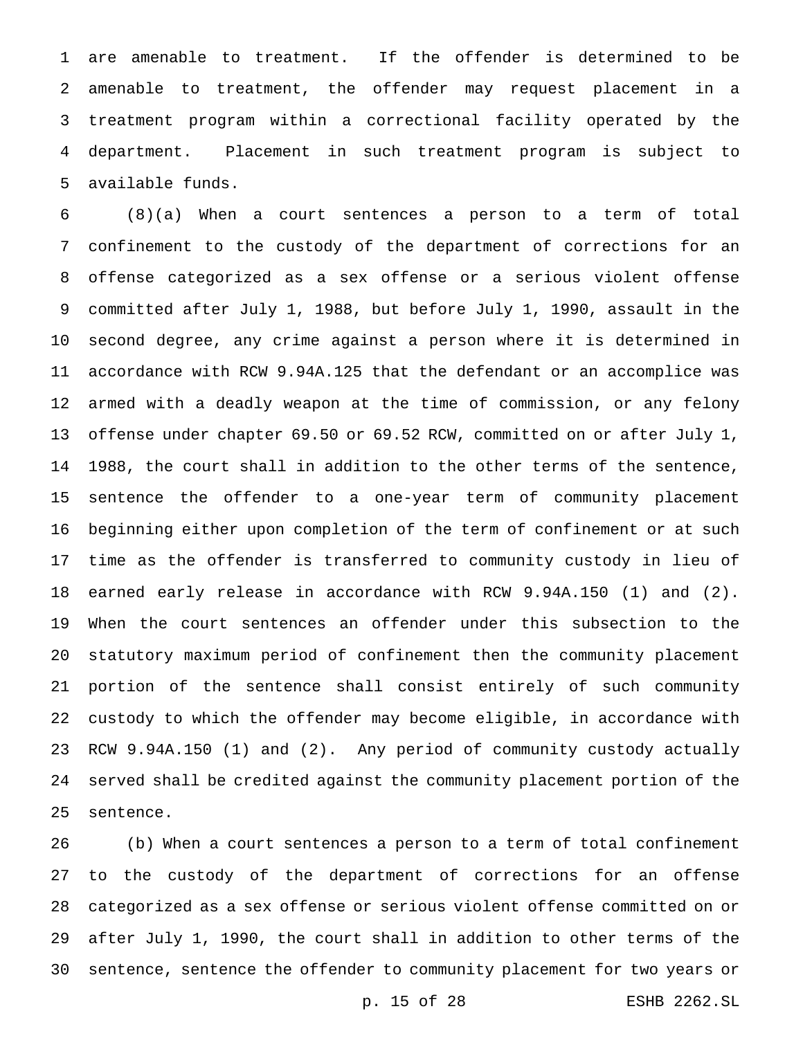are amenable to treatment. If the offender is determined to be amenable to treatment, the offender may request placement in a treatment program within a correctional facility operated by the department. Placement in such treatment program is subject to available funds.

 (8)(a) When a court sentences a person to a term of total confinement to the custody of the department of corrections for an offense categorized as a sex offense or a serious violent offense committed after July 1, 1988, but before July 1, 1990, assault in the second degree, any crime against a person where it is determined in accordance with RCW 9.94A.125 that the defendant or an accomplice was armed with a deadly weapon at the time of commission, or any felony offense under chapter 69.50 or 69.52 RCW, committed on or after July 1, 1988, the court shall in addition to the other terms of the sentence, sentence the offender to a one-year term of community placement beginning either upon completion of the term of confinement or at such time as the offender is transferred to community custody in lieu of earned early release in accordance with RCW 9.94A.150 (1) and (2). When the court sentences an offender under this subsection to the statutory maximum period of confinement then the community placement portion of the sentence shall consist entirely of such community custody to which the offender may become eligible, in accordance with RCW 9.94A.150 (1) and (2). Any period of community custody actually served shall be credited against the community placement portion of the sentence.

 (b) When a court sentences a person to a term of total confinement to the custody of the department of corrections for an offense categorized as a sex offense or serious violent offense committed on or after July 1, 1990, the court shall in addition to other terms of the sentence, sentence the offender to community placement for two years or

p. 15 of 28 ESHB 2262.SL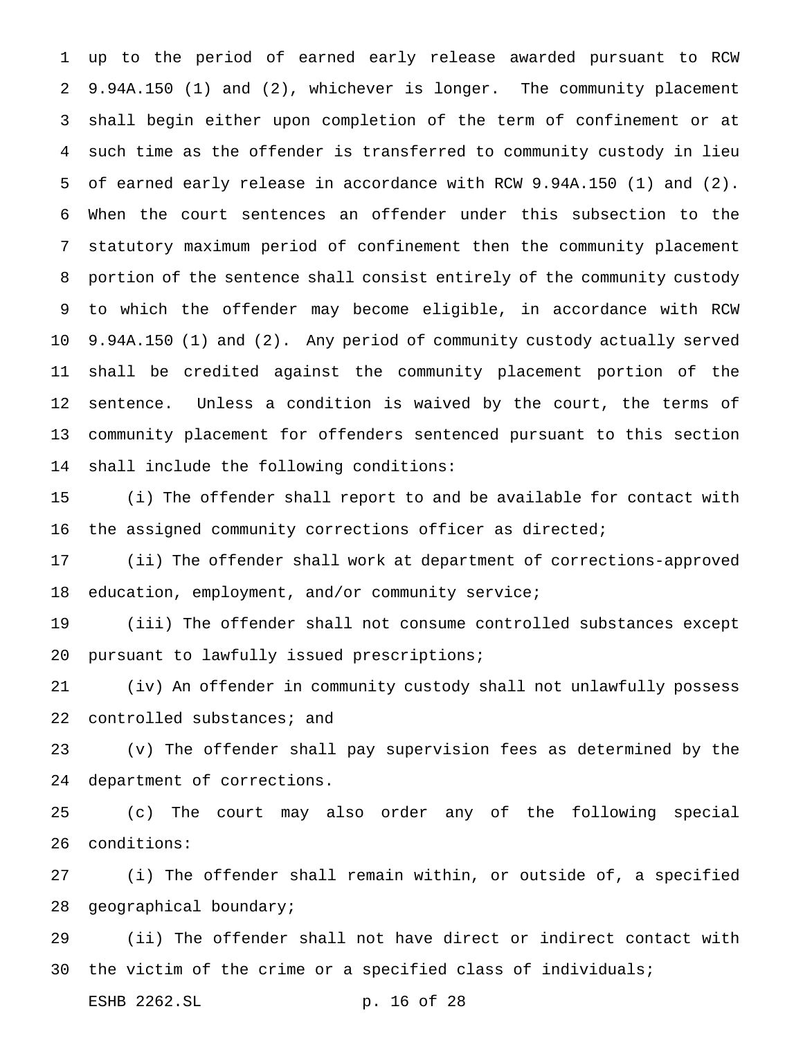up to the period of earned early release awarded pursuant to RCW 9.94A.150 (1) and (2), whichever is longer. The community placement shall begin either upon completion of the term of confinement or at such time as the offender is transferred to community custody in lieu of earned early release in accordance with RCW 9.94A.150 (1) and (2). When the court sentences an offender under this subsection to the statutory maximum period of confinement then the community placement portion of the sentence shall consist entirely of the community custody to which the offender may become eligible, in accordance with RCW 9.94A.150 (1) and (2). Any period of community custody actually served shall be credited against the community placement portion of the sentence. Unless a condition is waived by the court, the terms of community placement for offenders sentenced pursuant to this section shall include the following conditions:

 (i) The offender shall report to and be available for contact with the assigned community corrections officer as directed;

 (ii) The offender shall work at department of corrections-approved education, employment, and/or community service;

 (iii) The offender shall not consume controlled substances except pursuant to lawfully issued prescriptions;

 (iv) An offender in community custody shall not unlawfully possess 22 controlled substances; and

 (v) The offender shall pay supervision fees as determined by the department of corrections.

 (c) The court may also order any of the following special conditions:

 (i) The offender shall remain within, or outside of, a specified geographical boundary;

 (ii) The offender shall not have direct or indirect contact with the victim of the crime or a specified class of individuals;

ESHB 2262.SL p. 16 of 28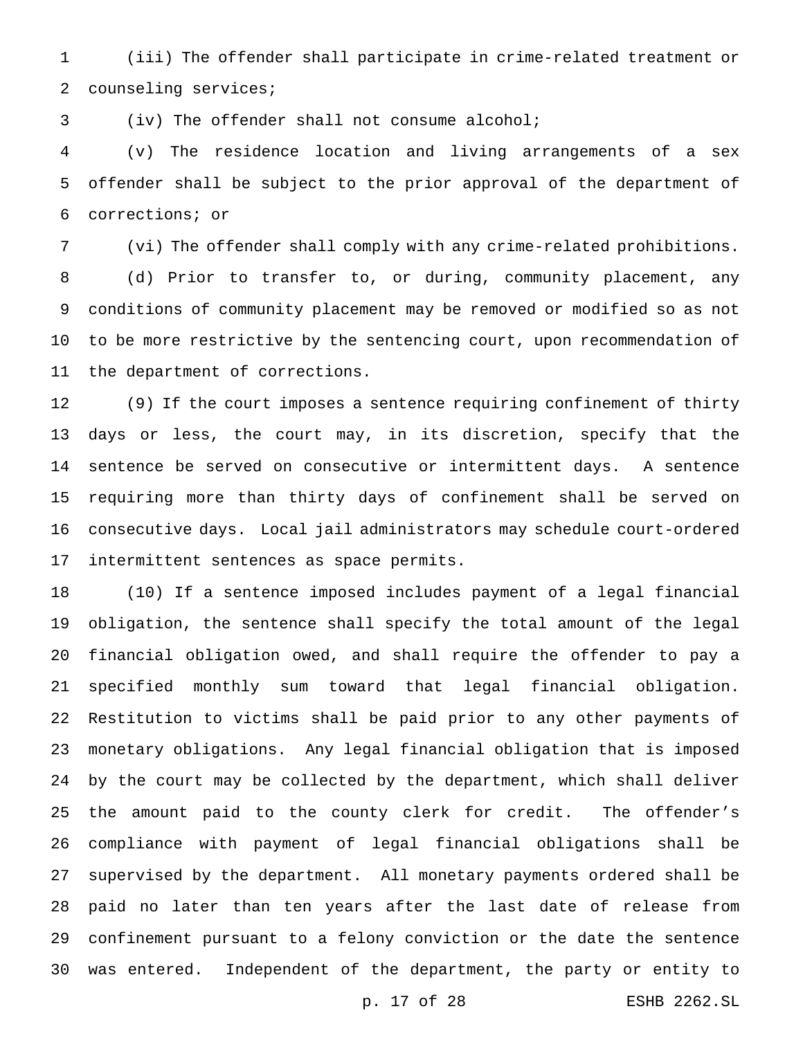(iii) The offender shall participate in crime-related treatment or counseling services;

(iv) The offender shall not consume alcohol;

 (v) The residence location and living arrangements of a sex offender shall be subject to the prior approval of the department of corrections; or

(vi) The offender shall comply with any crime-related prohibitions.

 (d) Prior to transfer to, or during, community placement, any conditions of community placement may be removed or modified so as not to be more restrictive by the sentencing court, upon recommendation of the department of corrections.

 (9) If the court imposes a sentence requiring confinement of thirty days or less, the court may, in its discretion, specify that the sentence be served on consecutive or intermittent days. A sentence requiring more than thirty days of confinement shall be served on consecutive days. Local jail administrators may schedule court-ordered intermittent sentences as space permits.

 (10) If a sentence imposed includes payment of a legal financial obligation, the sentence shall specify the total amount of the legal financial obligation owed, and shall require the offender to pay a specified monthly sum toward that legal financial obligation. Restitution to victims shall be paid prior to any other payments of monetary obligations. Any legal financial obligation that is imposed by the court may be collected by the department, which shall deliver the amount paid to the county clerk for credit. The offender's compliance with payment of legal financial obligations shall be supervised by the department. All monetary payments ordered shall be paid no later than ten years after the last date of release from confinement pursuant to a felony conviction or the date the sentence was entered. Independent of the department, the party or entity to

p. 17 of 28 ESHB 2262.SL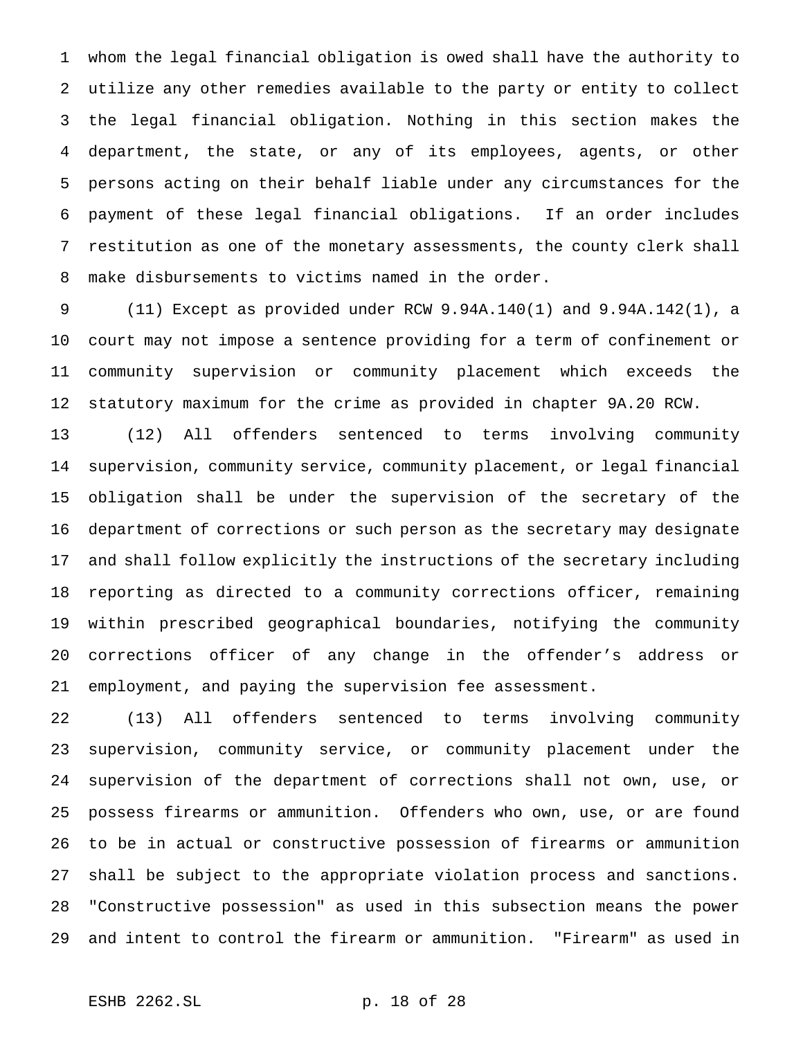whom the legal financial obligation is owed shall have the authority to utilize any other remedies available to the party or entity to collect the legal financial obligation. Nothing in this section makes the department, the state, or any of its employees, agents, or other persons acting on their behalf liable under any circumstances for the payment of these legal financial obligations. If an order includes restitution as one of the monetary assessments, the county clerk shall make disbursements to victims named in the order.

 (11) Except as provided under RCW 9.94A.140(1) and 9.94A.142(1), a court may not impose a sentence providing for a term of confinement or community supervision or community placement which exceeds the statutory maximum for the crime as provided in chapter 9A.20 RCW.

 (12) All offenders sentenced to terms involving community supervision, community service, community placement, or legal financial obligation shall be under the supervision of the secretary of the department of corrections or such person as the secretary may designate and shall follow explicitly the instructions of the secretary including reporting as directed to a community corrections officer, remaining within prescribed geographical boundaries, notifying the community corrections officer of any change in the offender's address or employment, and paying the supervision fee assessment.

 (13) All offenders sentenced to terms involving community supervision, community service, or community placement under the supervision of the department of corrections shall not own, use, or possess firearms or ammunition. Offenders who own, use, or are found to be in actual or constructive possession of firearms or ammunition shall be subject to the appropriate violation process and sanctions. "Constructive possession" as used in this subsection means the power and intent to control the firearm or ammunition. "Firearm" as used in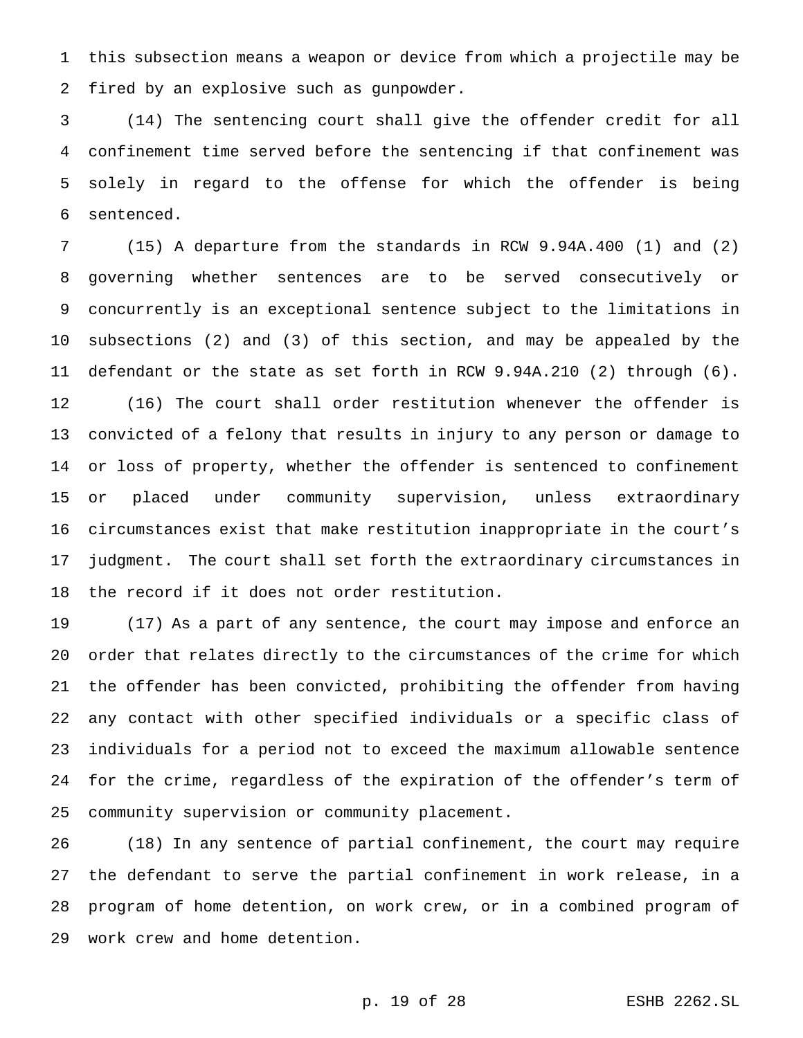this subsection means a weapon or device from which a projectile may be fired by an explosive such as gunpowder.

 (14) The sentencing court shall give the offender credit for all confinement time served before the sentencing if that confinement was solely in regard to the offense for which the offender is being sentenced.

 (15) A departure from the standards in RCW 9.94A.400 (1) and (2) governing whether sentences are to be served consecutively or concurrently is an exceptional sentence subject to the limitations in subsections (2) and (3) of this section, and may be appealed by the defendant or the state as set forth in RCW 9.94A.210 (2) through (6). (16) The court shall order restitution whenever the offender is convicted of a felony that results in injury to any person or damage to or loss of property, whether the offender is sentenced to confinement or placed under community supervision, unless extraordinary circumstances exist that make restitution inappropriate in the court's judgment. The court shall set forth the extraordinary circumstances in the record if it does not order restitution.

 (17) As a part of any sentence, the court may impose and enforce an order that relates directly to the circumstances of the crime for which the offender has been convicted, prohibiting the offender from having any contact with other specified individuals or a specific class of individuals for a period not to exceed the maximum allowable sentence for the crime, regardless of the expiration of the offender's term of community supervision or community placement.

 (18) In any sentence of partial confinement, the court may require the defendant to serve the partial confinement in work release, in a program of home detention, on work crew, or in a combined program of work crew and home detention.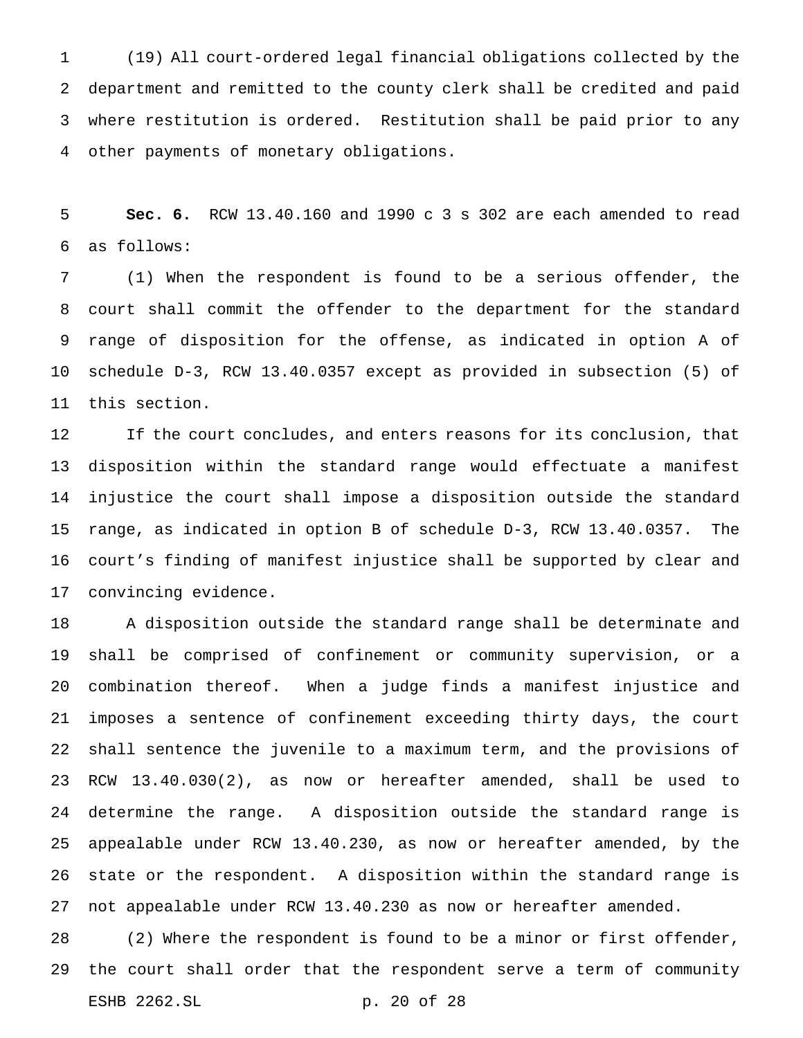(19) All court-ordered legal financial obligations collected by the department and remitted to the county clerk shall be credited and paid where restitution is ordered. Restitution shall be paid prior to any other payments of monetary obligations.

 **Sec. 6.** RCW 13.40.160 and 1990 c 3 s 302 are each amended to read as follows:

 (1) When the respondent is found to be a serious offender, the court shall commit the offender to the department for the standard range of disposition for the offense, as indicated in option A of schedule D-3, RCW 13.40.0357 except as provided in subsection (5) of this section.

 If the court concludes, and enters reasons for its conclusion, that disposition within the standard range would effectuate a manifest injustice the court shall impose a disposition outside the standard range, as indicated in option B of schedule D-3, RCW 13.40.0357. The court's finding of manifest injustice shall be supported by clear and convincing evidence.

 A disposition outside the standard range shall be determinate and shall be comprised of confinement or community supervision, or a combination thereof. When a judge finds a manifest injustice and imposes a sentence of confinement exceeding thirty days, the court shall sentence the juvenile to a maximum term, and the provisions of RCW 13.40.030(2), as now or hereafter amended, shall be used to determine the range. A disposition outside the standard range is appealable under RCW 13.40.230, as now or hereafter amended, by the state or the respondent. A disposition within the standard range is not appealable under RCW 13.40.230 as now or hereafter amended.

 (2) Where the respondent is found to be a minor or first offender, the court shall order that the respondent serve a term of community ESHB 2262.SL p. 20 of 28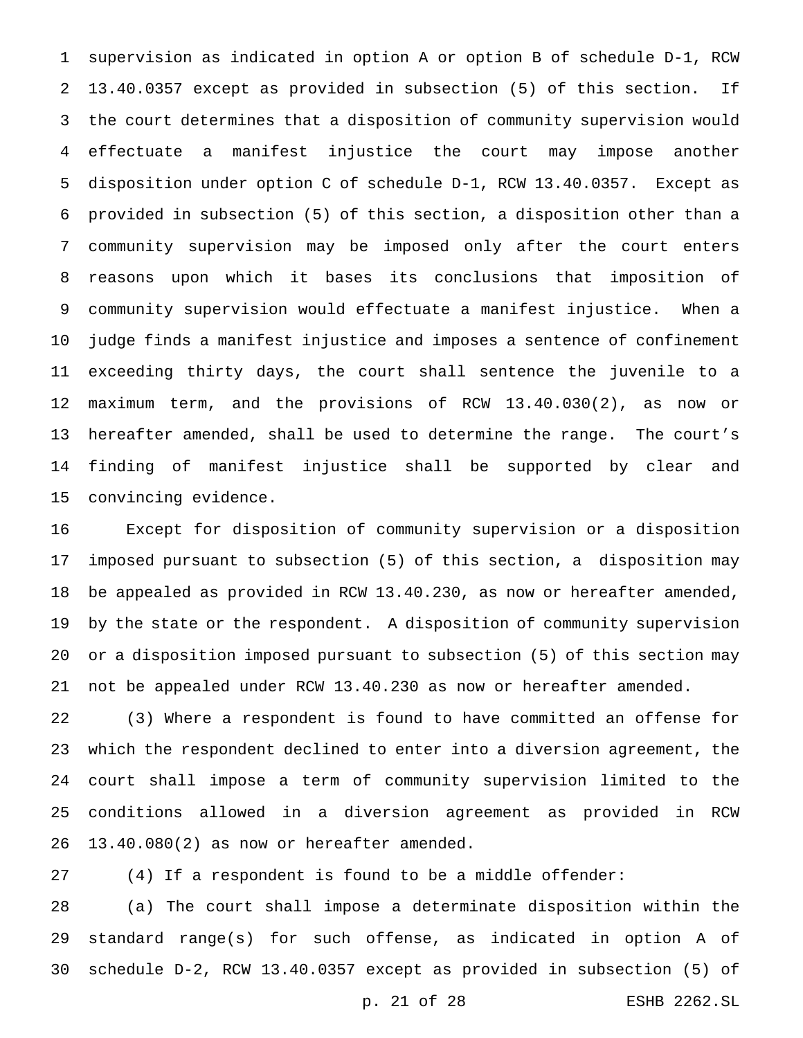supervision as indicated in option A or option B of schedule D-1, RCW 13.40.0357 except as provided in subsection (5) of this section. If the court determines that a disposition of community supervision would effectuate a manifest injustice the court may impose another disposition under option C of schedule D-1, RCW 13.40.0357. Except as provided in subsection (5) of this section, a disposition other than a community supervision may be imposed only after the court enters reasons upon which it bases its conclusions that imposition of community supervision would effectuate a manifest injustice. When a judge finds a manifest injustice and imposes a sentence of confinement exceeding thirty days, the court shall sentence the juvenile to a maximum term, and the provisions of RCW 13.40.030(2), as now or hereafter amended, shall be used to determine the range. The court's finding of manifest injustice shall be supported by clear and convincing evidence.

 Except for disposition of community supervision or a disposition imposed pursuant to subsection (5) of this section, a disposition may be appealed as provided in RCW 13.40.230, as now or hereafter amended, by the state or the respondent. A disposition of community supervision or a disposition imposed pursuant to subsection (5) of this section may not be appealed under RCW 13.40.230 as now or hereafter amended.

 (3) Where a respondent is found to have committed an offense for which the respondent declined to enter into a diversion agreement, the court shall impose a term of community supervision limited to the conditions allowed in a diversion agreement as provided in RCW 13.40.080(2) as now or hereafter amended.

(4) If a respondent is found to be a middle offender:

 (a) The court shall impose a determinate disposition within the standard range(s) for such offense, as indicated in option A of schedule D-2, RCW 13.40.0357 except as provided in subsection (5) of

p. 21 of 28 ESHB 2262.SL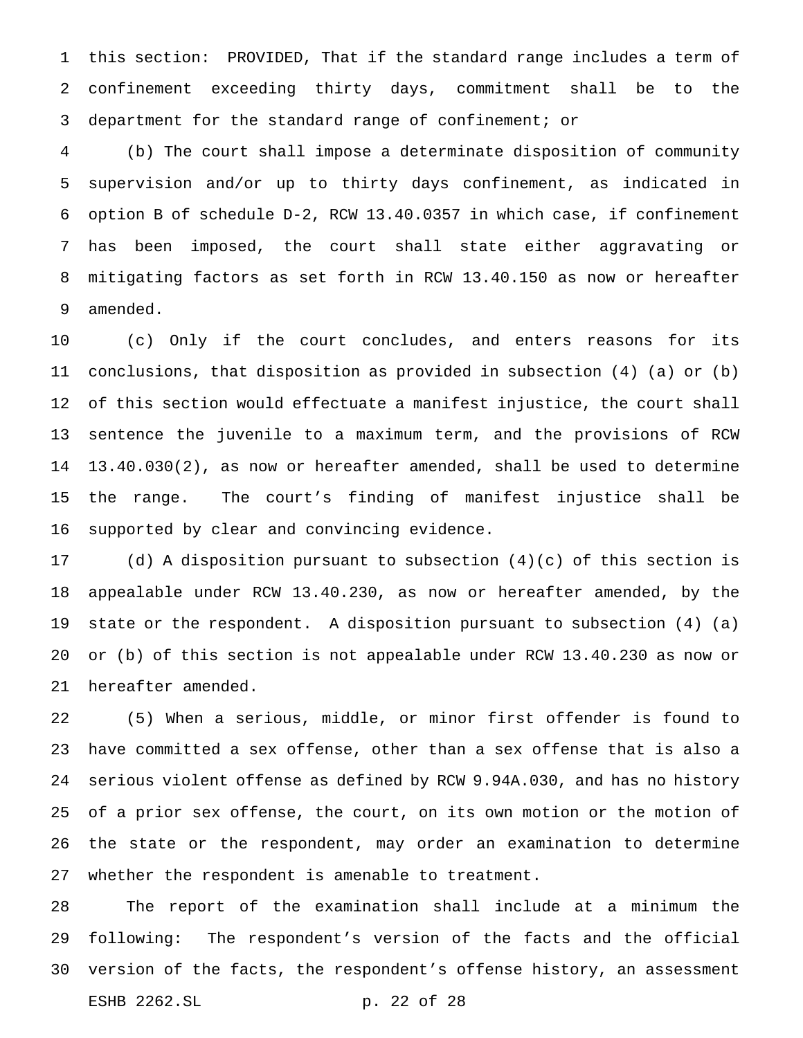this section: PROVIDED, That if the standard range includes a term of confinement exceeding thirty days, commitment shall be to the department for the standard range of confinement; or

 (b) The court shall impose a determinate disposition of community supervision and/or up to thirty days confinement, as indicated in option B of schedule D-2, RCW 13.40.0357 in which case, if confinement has been imposed, the court shall state either aggravating or mitigating factors as set forth in RCW 13.40.150 as now or hereafter amended.

 (c) Only if the court concludes, and enters reasons for its conclusions, that disposition as provided in subsection (4) (a) or (b) of this section would effectuate a manifest injustice, the court shall sentence the juvenile to a maximum term, and the provisions of RCW 13.40.030(2), as now or hereafter amended, shall be used to determine the range. The court's finding of manifest injustice shall be supported by clear and convincing evidence.

 (d) A disposition pursuant to subsection (4)(c) of this section is appealable under RCW 13.40.230, as now or hereafter amended, by the state or the respondent. A disposition pursuant to subsection (4) (a) or (b) of this section is not appealable under RCW 13.40.230 as now or hereafter amended.

 (5) When a serious, middle, or minor first offender is found to have committed a sex offense, other than a sex offense that is also a serious violent offense as defined by RCW 9.94A.030, and has no history of a prior sex offense, the court, on its own motion or the motion of the state or the respondent, may order an examination to determine whether the respondent is amenable to treatment.

 The report of the examination shall include at a minimum the following: The respondent's version of the facts and the official version of the facts, the respondent's offense history, an assessment ESHB 2262.SL p. 22 of 28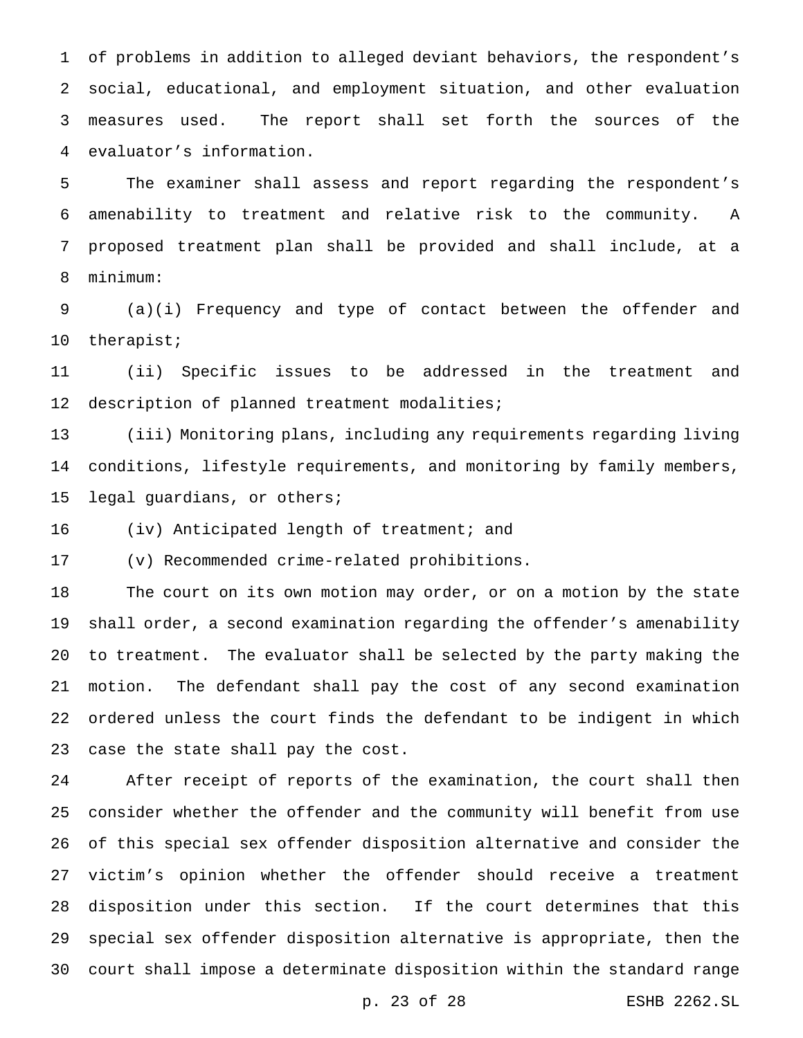of problems in addition to alleged deviant behaviors, the respondent's social, educational, and employment situation, and other evaluation measures used. The report shall set forth the sources of the evaluator's information.

 The examiner shall assess and report regarding the respondent's amenability to treatment and relative risk to the community. A proposed treatment plan shall be provided and shall include, at a minimum:

 (a)(i) Frequency and type of contact between the offender and therapist;

 (ii) Specific issues to be addressed in the treatment and 12 description of planned treatment modalities;

 (iii) Monitoring plans, including any requirements regarding living conditions, lifestyle requirements, and monitoring by family members, legal guardians, or others;

(iv) Anticipated length of treatment; and

(v) Recommended crime-related prohibitions.

 The court on its own motion may order, or on a motion by the state shall order, a second examination regarding the offender's amenability to treatment. The evaluator shall be selected by the party making the motion. The defendant shall pay the cost of any second examination ordered unless the court finds the defendant to be indigent in which case the state shall pay the cost.

 After receipt of reports of the examination, the court shall then consider whether the offender and the community will benefit from use of this special sex offender disposition alternative and consider the victim's opinion whether the offender should receive a treatment disposition under this section. If the court determines that this special sex offender disposition alternative is appropriate, then the court shall impose a determinate disposition within the standard range

p. 23 of 28 ESHB 2262.SL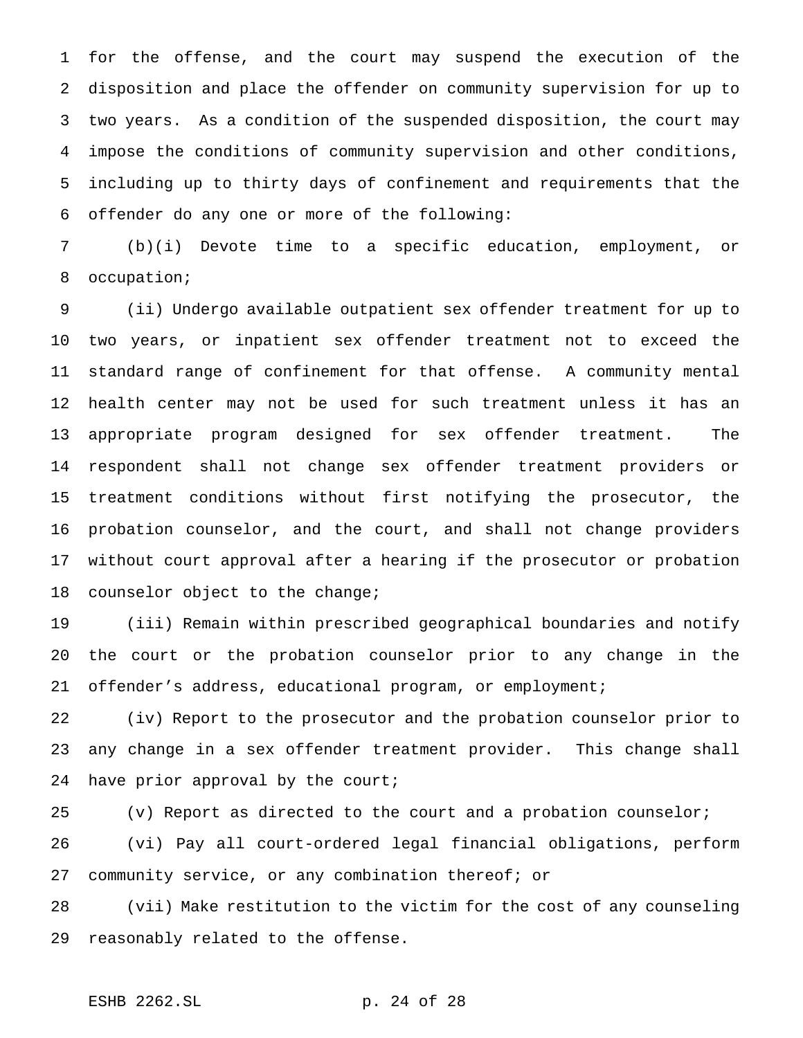for the offense, and the court may suspend the execution of the disposition and place the offender on community supervision for up to two years. As a condition of the suspended disposition, the court may impose the conditions of community supervision and other conditions, including up to thirty days of confinement and requirements that the offender do any one or more of the following:

 (b)(i) Devote time to a specific education, employment, or occupation;

 (ii) Undergo available outpatient sex offender treatment for up to two years, or inpatient sex offender treatment not to exceed the standard range of confinement for that offense. A community mental health center may not be used for such treatment unless it has an appropriate program designed for sex offender treatment. The respondent shall not change sex offender treatment providers or treatment conditions without first notifying the prosecutor, the probation counselor, and the court, and shall not change providers without court approval after a hearing if the prosecutor or probation counselor object to the change;

 (iii) Remain within prescribed geographical boundaries and notify the court or the probation counselor prior to any change in the offender's address, educational program, or employment;

 (iv) Report to the prosecutor and the probation counselor prior to any change in a sex offender treatment provider. This change shall 24 have prior approval by the court;

(v) Report as directed to the court and a probation counselor;

 (vi) Pay all court-ordered legal financial obligations, perform community service, or any combination thereof; or

 (vii) Make restitution to the victim for the cost of any counseling reasonably related to the offense.

# ESHB 2262.SL p. 24 of 28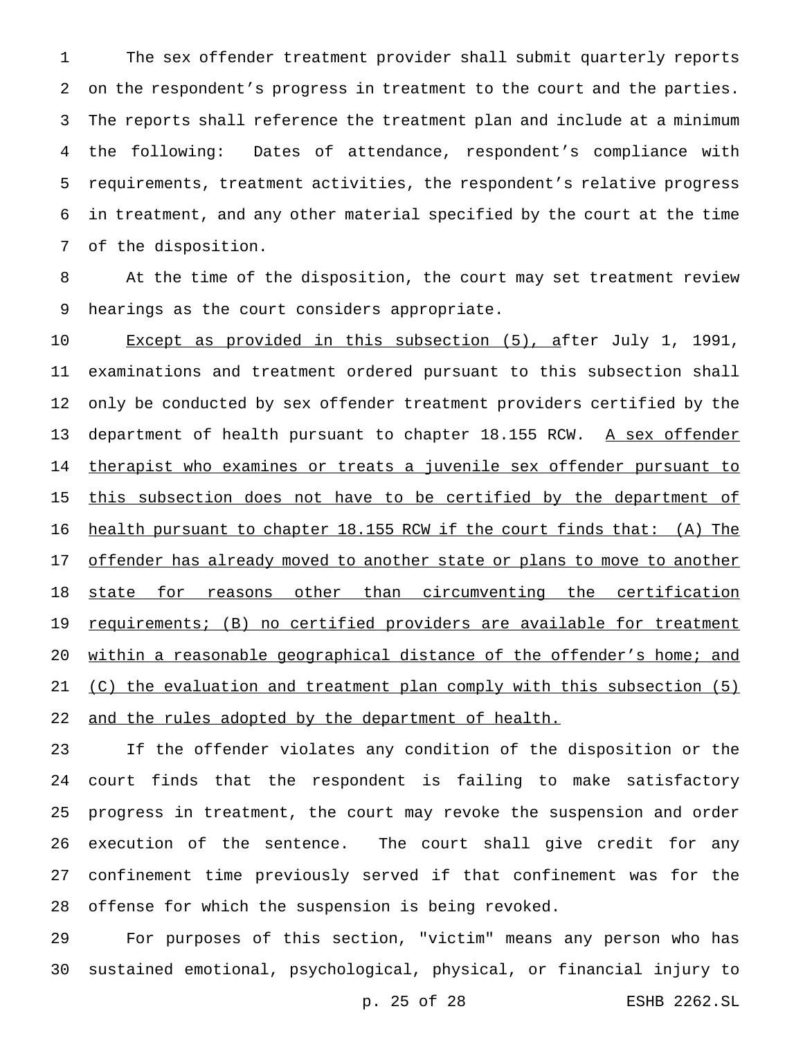The sex offender treatment provider shall submit quarterly reports on the respondent's progress in treatment to the court and the parties. The reports shall reference the treatment plan and include at a minimum the following: Dates of attendance, respondent's compliance with requirements, treatment activities, the respondent's relative progress in treatment, and any other material specified by the court at the time of the disposition.

 At the time of the disposition, the court may set treatment review hearings as the court considers appropriate.

10 Except as provided in this subsection (5), after July 1, 1991, examinations and treatment ordered pursuant to this subsection shall only be conducted by sex offender treatment providers certified by the 13 department of health pursuant to chapter 18.155 RCW. A sex offender 14 therapist who examines or treats a juvenile sex offender pursuant to this subsection does not have to be certified by the department of health pursuant to chapter 18.155 RCW if the court finds that: (A) The 17 offender has already moved to another state or plans to move to another 18 state for reasons other than circumventing the certification 19 requirements; (B) no certified providers are available for treatment 20 within a reasonable geographical distance of the offender's home; and 21 (C) the evaluation and treatment plan comply with this subsection  $(5)$ 22 and the rules adopted by the department of health.

 If the offender violates any condition of the disposition or the court finds that the respondent is failing to make satisfactory progress in treatment, the court may revoke the suspension and order execution of the sentence. The court shall give credit for any confinement time previously served if that confinement was for the offense for which the suspension is being revoked.

 For purposes of this section, "victim" means any person who has sustained emotional, psychological, physical, or financial injury to

p. 25 of 28 ESHB 2262.SL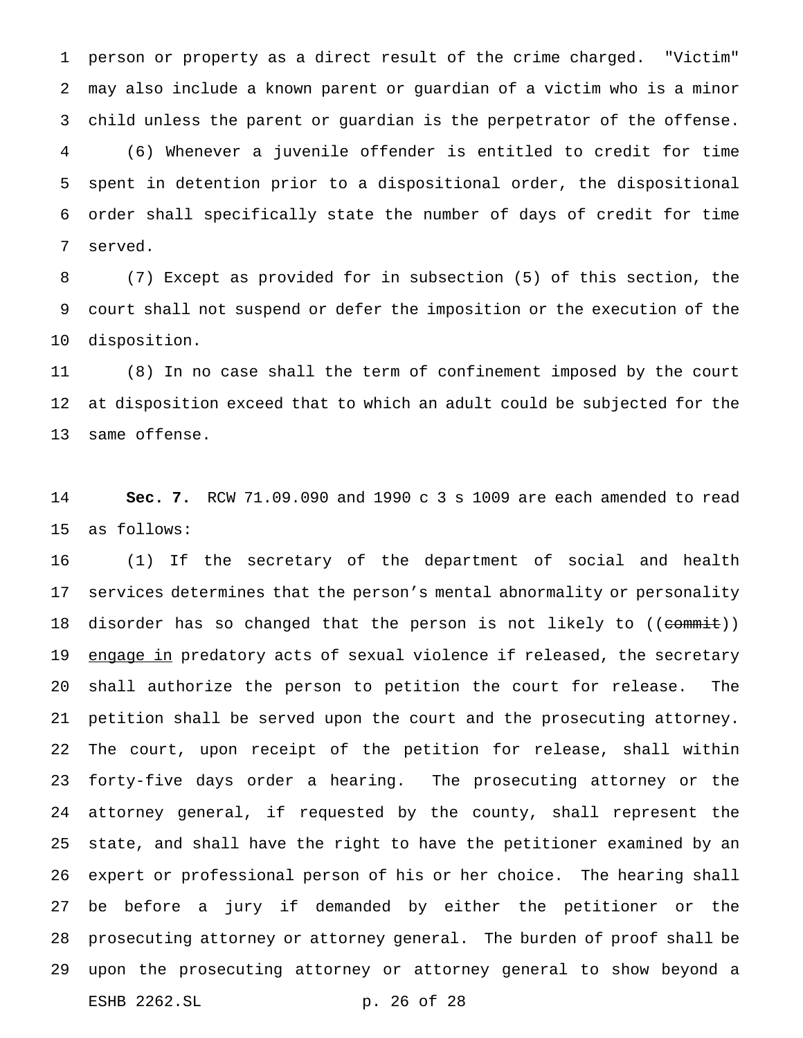person or property as a direct result of the crime charged. "Victim" may also include a known parent or guardian of a victim who is a minor child unless the parent or guardian is the perpetrator of the offense. (6) Whenever a juvenile offender is entitled to credit for time spent in detention prior to a dispositional order, the dispositional order shall specifically state the number of days of credit for time served.

 (7) Except as provided for in subsection (5) of this section, the court shall not suspend or defer the imposition or the execution of the disposition.

 (8) In no case shall the term of confinement imposed by the court at disposition exceed that to which an adult could be subjected for the same offense.

 **Sec. 7.** RCW 71.09.090 and 1990c3s 1009 are each amended to read as follows:

 (1) If the secretary of the department of social and health services determines that the person's mental abnormality or personality 18 disorder has so changed that the person is not likely to ((commit)) 19 engage in predatory acts of sexual violence if released, the secretary shall authorize the person to petition the court for release. The petition shall be served upon the court and the prosecuting attorney. The court, upon receipt of the petition for release, shall within forty-five days order a hearing. The prosecuting attorney or the attorney general, if requested by the county, shall represent the state, and shall have the right to have the petitioner examined by an expert or professional person of his or her choice. The hearing shall be before a jury if demanded by either the petitioner or the prosecuting attorney or attorney general. The burden of proof shall be upon the prosecuting attorney or attorney general to show beyond a ESHB 2262.SL p. 26 of 28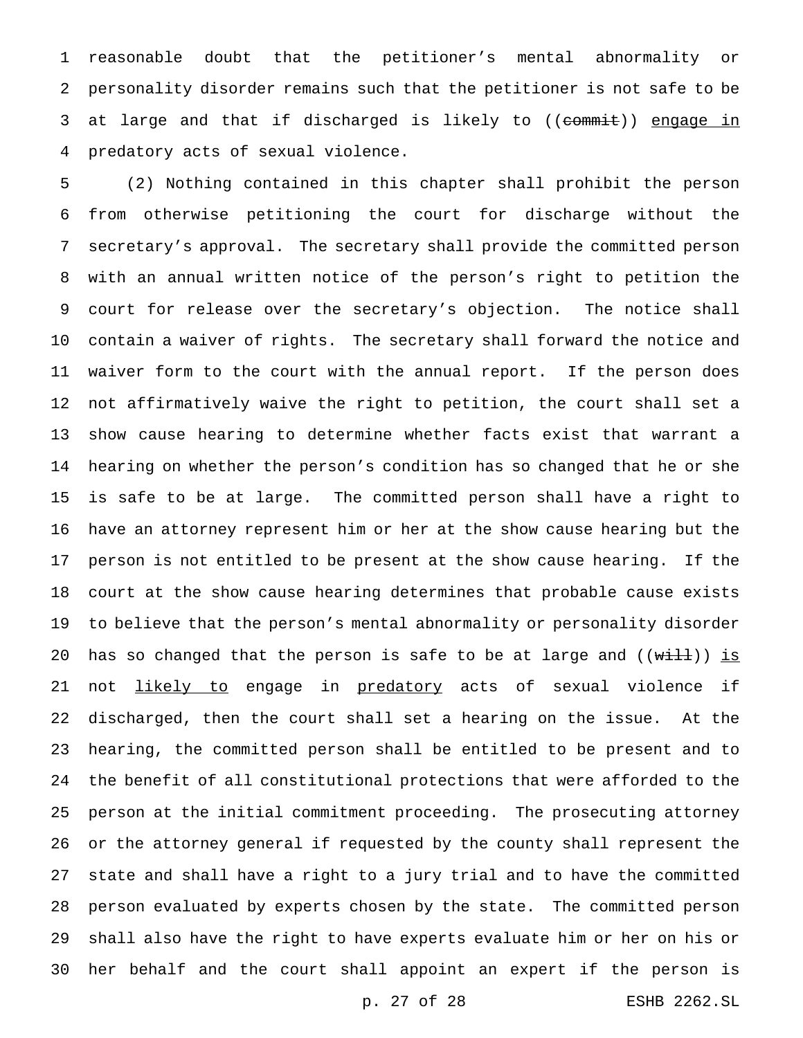reasonable doubt that the petitioner's mental abnormality or personality disorder remains such that the petitioner is not safe to be 3 at large and that if discharged is likely to ((commit)) engage in predatory acts of sexual violence.

 (2) Nothing contained in this chapter shall prohibit the person from otherwise petitioning the court for discharge without the secretary's approval. The secretary shall provide the committed person with an annual written notice of the person's right to petition the court for release over the secretary's objection. The notice shall contain a waiver of rights. The secretary shall forward the notice and waiver form to the court with the annual report. If the person does not affirmatively waive the right to petition, the court shall set a show cause hearing to determine whether facts exist that warrant a hearing on whether the person's condition has so changed that he or she is safe to be at large. The committed person shall have a right to have an attorney represent him or her at the show cause hearing but the person is not entitled to be present at the show cause hearing. If the court at the show cause hearing determines that probable cause exists to believe that the person's mental abnormality or personality disorder 20 has so changed that the person is safe to be at large and  $((\overline{\text{with}}))$  is 21 not likely to engage in predatory acts of sexual violence if discharged, then the court shall set a hearing on the issue. At the hearing, the committed person shall be entitled to be present and to the benefit of all constitutional protections that were afforded to the person at the initial commitment proceeding. The prosecuting attorney or the attorney general if requested by the county shall represent the state and shall have a right to a jury trial and to have the committed person evaluated by experts chosen by the state. The committed person shall also have the right to have experts evaluate him or her on his or her behalf and the court shall appoint an expert if the person is

p. 27 of 28 ESHB 2262.SL